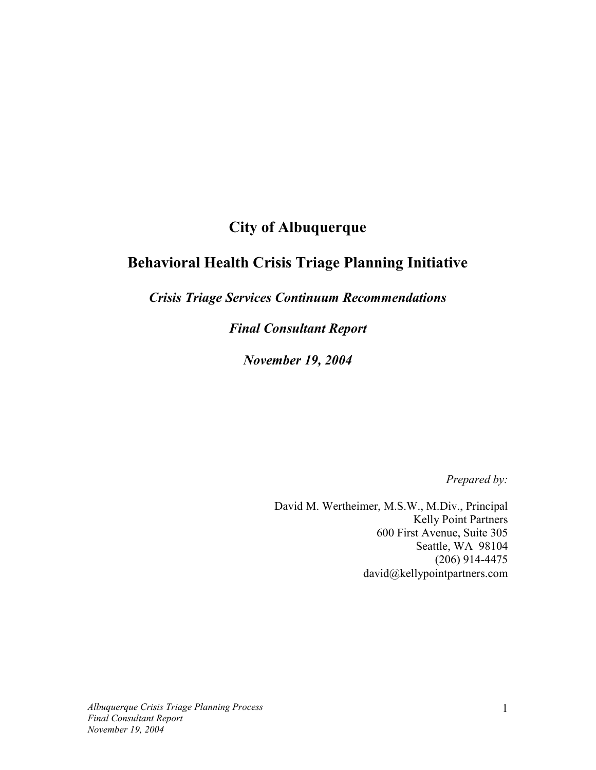# **City of Albuquerque**

# **Behavioral Health Crisis Triage Planning Initiative**

*Crisis Triage Services Continuum Recommendations*

# *Final Consultant Report*

*November 19, 2004*

*Prepared by:*

David M. Wertheimer, M.S.W., M.Div., Principal Kelly Point Partners 600 First Avenue, Suite 305 Seattle, WA 98104 (206) 914-4475 david@kellypointpartners.com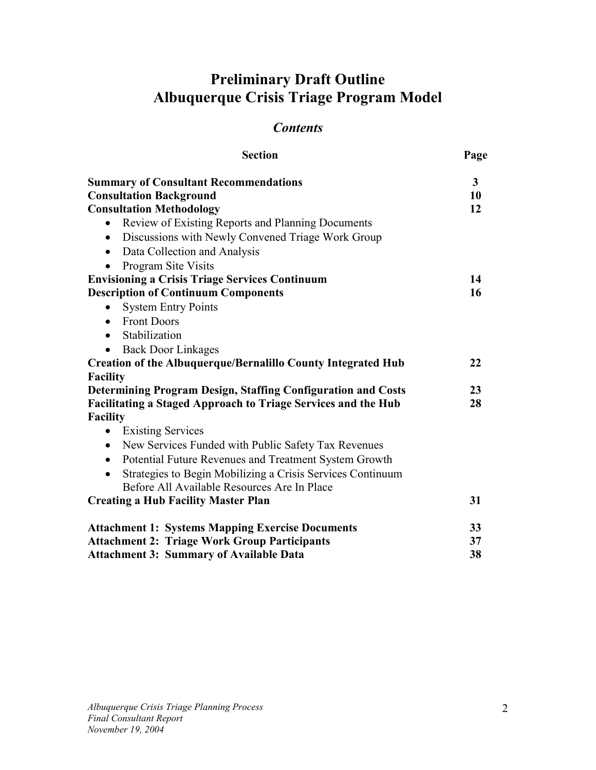# **Preliminary Draft Outline Albuquerque Crisis Triage Program Model**

# *Contents*

| <b>Section</b>                                                       | Page |
|----------------------------------------------------------------------|------|
| <b>Summary of Consultant Recommendations</b>                         | 3    |
| <b>Consultation Background</b>                                       | 10   |
| <b>Consultation Methodology</b>                                      | 12   |
| Review of Existing Reports and Planning Documents<br>$\bullet$       |      |
| Discussions with Newly Convened Triage Work Group<br>$\bullet$       |      |
| Data Collection and Analysis<br>$\bullet$                            |      |
| Program Site Visits                                                  |      |
| <b>Envisioning a Crisis Triage Services Continuum</b>                | 14   |
| <b>Description of Continuum Components</b>                           | 16   |
| <b>System Entry Points</b>                                           |      |
| <b>Front Doors</b><br>$\bullet$                                      |      |
| Stabilization<br>$\bullet$                                           |      |
| <b>Back Door Linkages</b><br>$\bullet$                               |      |
| <b>Creation of the Albuquerque/Bernalillo County Integrated Hub</b>  | 22   |
| <b>Facility</b>                                                      |      |
| <b>Determining Program Design, Staffing Configuration and Costs</b>  | 23   |
| <b>Facilitating a Staged Approach to Triage Services and the Hub</b> | 28   |
| <b>Facility</b>                                                      |      |
| • Existing Services                                                  |      |
| New Services Funded with Public Safety Tax Revenues<br>$\bullet$     |      |
| Potential Future Revenues and Treatment System Growth<br>$\bullet$   |      |
| Strategies to Begin Mobilizing a Crisis Services Continuum           |      |
| Before All Available Resources Are In Place                          |      |
| <b>Creating a Hub Facility Master Plan</b>                           | 31   |
| <b>Attachment 1: Systems Mapping Exercise Documents</b>              | 33   |
| <b>Attachment 2: Triage Work Group Participants</b>                  | 37   |
| <b>Attachment 3: Summary of Available Data</b>                       | 38   |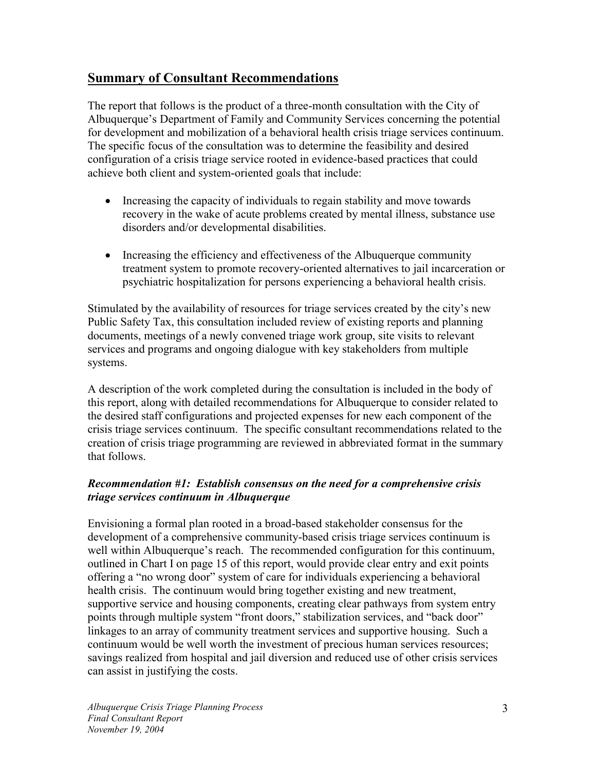# **Summary of Consultant Recommendations**

The report that follows is the product of a three-month consultation with the City of Albuquerque's Department of Family and Community Services concerning the potential for development and mobilization of a behavioral health crisis triage services continuum. The specific focus of the consultation was to determine the feasibility and desired configuration of a crisis triage service rooted in evidence-based practices that could achieve both client and system-oriented goals that include:

- Increasing the capacity of individuals to regain stability and move towards recovery in the wake of acute problems created by mental illness, substance use disorders and/or developmental disabilities.
- Increasing the efficiency and effectiveness of the Albuquerque community treatment system to promote recovery-oriented alternatives to jail incarceration or psychiatric hospitalization for persons experiencing a behavioral health crisis.

Stimulated by the availability of resources for triage services created by the city's new Public Safety Tax, this consultation included review of existing reports and planning documents, meetings of a newly convened triage work group, site visits to relevant services and programs and ongoing dialogue with key stakeholders from multiple systems.

A description of the work completed during the consultation is included in the body of this report, along with detailed recommendations for Albuquerque to consider related to the desired staff configurations and projected expenses for new each component of the crisis triage services continuum. The specific consultant recommendations related to the creation of crisis triage programming are reviewed in abbreviated format in the summary that follows.

#### *Recommendation #1: Establish consensus on the need for a comprehensive crisis triage services continuum in Albuquerque*

Envisioning a formal plan rooted in a broad-based stakeholder consensus for the development of a comprehensive community-based crisis triage services continuum is well within Albuquerque's reach. The recommended configuration for this continuum, outlined in Chart I on page 15 of this report, would provide clear entry and exit points offering a "no wrong door" system of care for individuals experiencing a behavioral health crisis. The continuum would bring together existing and new treatment, supportive service and housing components, creating clear pathways from system entry points through multiple system "front doors," stabilization services, and "back door" linkages to an array of community treatment services and supportive housing. Such a continuum would be well worth the investment of precious human services resources; savings realized from hospital and jail diversion and reduced use of other crisis services can assist in justifying the costs.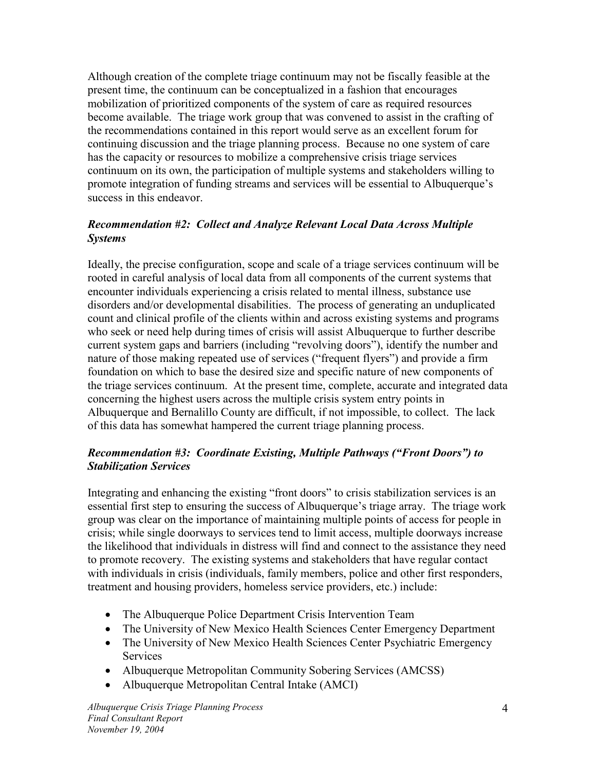Although creation of the complete triage continuum may not be fiscally feasible at the present time, the continuum can be conceptualized in a fashion that encourages mobilization of prioritized components of the system of care as required resources become available. The triage work group that was convened to assist in the crafting of the recommendations contained in this report would serve as an excellent forum for continuing discussion and the triage planning process. Because no one system of care has the capacity or resources to mobilize a comprehensive crisis triage services continuum on its own, the participation of multiple systems and stakeholders willing to promote integration of funding streams and services will be essential to Albuquerque's success in this endeavor.

#### *Recommendation #2: Collect and Analyze Relevant Local Data Across Multiple Systems*

Ideally, the precise configuration, scope and scale of a triage services continuum will be rooted in careful analysis of local data from all components of the current systems that encounter individuals experiencing a crisis related to mental illness, substance use disorders and/or developmental disabilities. The process of generating an unduplicated count and clinical profile of the clients within and across existing systems and programs who seek or need help during times of crisis will assist Albuquerque to further describe current system gaps and barriers (including "revolving doors"), identify the number and nature of those making repeated use of services ("frequent flyers") and provide a firm foundation on which to base the desired size and specific nature of new components of the triage services continuum. At the present time, complete, accurate and integrated data concerning the highest users across the multiple crisis system entry points in Albuquerque and Bernalillo County are difficult, if not impossible, to collect. The lack of this data has somewhat hampered the current triage planning process.

#### *Recommendation #3: Coordinate Existing, Multiple Pathways ("Front Doors") to Stabilization Services*

Integrating and enhancing the existing "front doors" to crisis stabilization services is an essential first step to ensuring the success of Albuquerque's triage array. The triage work group was clear on the importance of maintaining multiple points of access for people in crisis; while single doorways to services tend to limit access, multiple doorways increase the likelihood that individuals in distress will find and connect to the assistance they need to promote recovery. The existing systems and stakeholders that have regular contact with individuals in crisis (individuals, family members, police and other first responders, treatment and housing providers, homeless service providers, etc.) include:

- The Albuquerque Police Department Crisis Intervention Team
- The University of New Mexico Health Sciences Center Emergency Department
- The University of New Mexico Health Sciences Center Psychiatric Emergency Services
- Albuquerque Metropolitan Community Sobering Services (AMCSS)
- Albuquerque Metropolitan Central Intake (AMCI)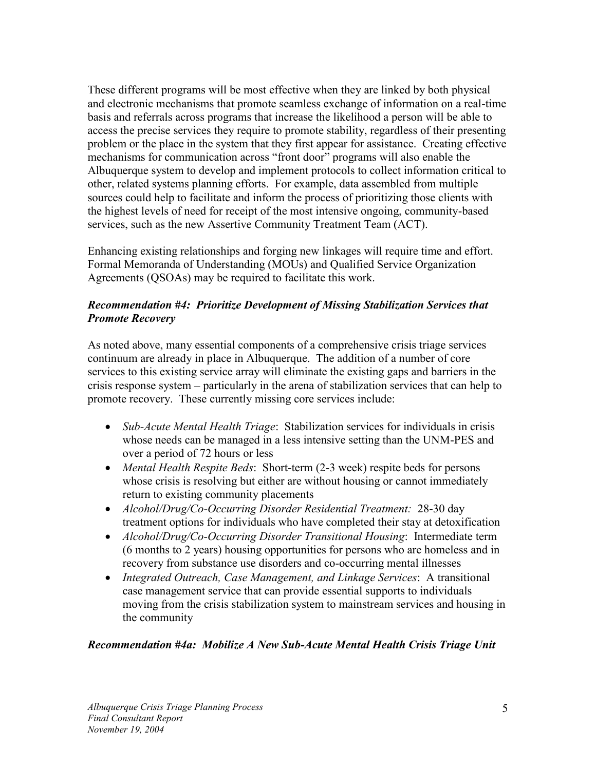These different programs will be most effective when they are linked by both physical and electronic mechanisms that promote seamless exchange of information on a real-time basis and referrals across programs that increase the likelihood a person will be able to access the precise services they require to promote stability, regardless of their presenting problem or the place in the system that they first appear for assistance. Creating effective mechanisms for communication across "front door" programs will also enable the Albuquerque system to develop and implement protocols to collect information critical to other, related systems planning efforts. For example, data assembled from multiple sources could help to facilitate and inform the process of prioritizing those clients with the highest levels of need for receipt of the most intensive ongoing, community-based services, such as the new Assertive Community Treatment Team (ACT).

Enhancing existing relationships and forging new linkages will require time and effort. Formal Memoranda of Understanding (MOUs) and Qualified Service Organization Agreements (QSOAs) may be required to facilitate this work.

#### *Recommendation #4: Prioritize Development of Missing Stabilization Services that Promote Recovery*

As noted above, many essential components of a comprehensive crisis triage services continuum are already in place in Albuquerque. The addition of a number of core services to this existing service array will eliminate the existing gaps and barriers in the crisis response system – particularly in the arena of stabilization services that can help to promote recovery. These currently missing core services include:

- *Sub-Acute Mental Health Triage*: Stabilization services for individuals in crisis whose needs can be managed in a less intensive setting than the UNM-PES and over a period of 72 hours or less
- *Mental Health Respite Beds*: Short-term (2-3 week) respite beds for persons whose crisis is resolving but either are without housing or cannot immediately return to existing community placements
- *Alcohol/Drug/Co-Occurring Disorder Residential Treatment:* 28-30 day treatment options for individuals who have completed their stay at detoxification
- *Alcohol/Drug/Co-Occurring Disorder Transitional Housing*: Intermediate term (6 months to 2 years) housing opportunities for persons who are homeless and in recovery from substance use disorders and co-occurring mental illnesses
- *Integrated Outreach, Case Management, and Linkage Services*: A transitional case management service that can provide essential supports to individuals moving from the crisis stabilization system to mainstream services and housing in the community

#### *Recommendation #4a: Mobilize A New Sub-Acute Mental Health Crisis Triage Unit*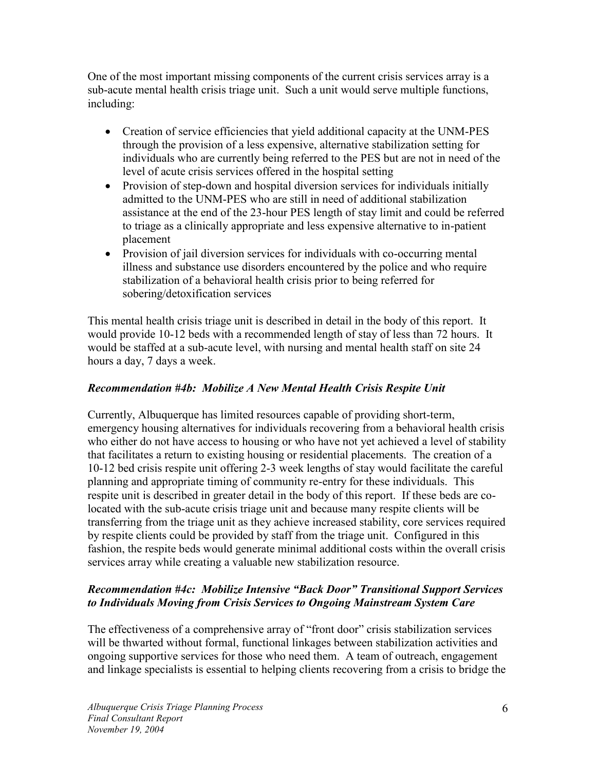One of the most important missing components of the current crisis services array is a sub-acute mental health crisis triage unit. Such a unit would serve multiple functions, including:

- Creation of service efficiencies that yield additional capacity at the UNM-PES through the provision of a less expensive, alternative stabilization setting for individuals who are currently being referred to the PES but are not in need of the level of acute crisis services offered in the hospital setting
- Provision of step-down and hospital diversion services for individuals initially admitted to the UNM-PES who are still in need of additional stabilization assistance at the end of the 23-hour PES length of stay limit and could be referred to triage as a clinically appropriate and less expensive alternative to in-patient placement
- Provision of jail diversion services for individuals with co-occurring mental illness and substance use disorders encountered by the police and who require stabilization of a behavioral health crisis prior to being referred for sobering/detoxification services

This mental health crisis triage unit is described in detail in the body of this report. It would provide 10-12 beds with a recommended length of stay of less than 72 hours. It would be staffed at a sub-acute level, with nursing and mental health staff on site 24 hours a day, 7 days a week.

#### *Recommendation #4b: Mobilize A New Mental Health Crisis Respite Unit*

Currently, Albuquerque has limited resources capable of providing short-term, emergency housing alternatives for individuals recovering from a behavioral health crisis who either do not have access to housing or who have not yet achieved a level of stability that facilitates a return to existing housing or residential placements. The creation of a 10-12 bed crisis respite unit offering 2-3 week lengths of stay would facilitate the careful planning and appropriate timing of community re-entry for these individuals. This respite unit is described in greater detail in the body of this report. If these beds are colocated with the sub-acute crisis triage unit and because many respite clients will be transferring from the triage unit as they achieve increased stability, core services required by respite clients could be provided by staff from the triage unit. Configured in this fashion, the respite beds would generate minimal additional costs within the overall crisis services array while creating a valuable new stabilization resource.

#### *Recommendation #4c: Mobilize Intensive "Back Door" Transitional Support Services to Individuals Moving from Crisis Services to Ongoing Mainstream System Care*

The effectiveness of a comprehensive array of "front door" crisis stabilization services will be thwarted without formal, functional linkages between stabilization activities and ongoing supportive services for those who need them. A team of outreach, engagement and linkage specialists is essential to helping clients recovering from a crisis to bridge the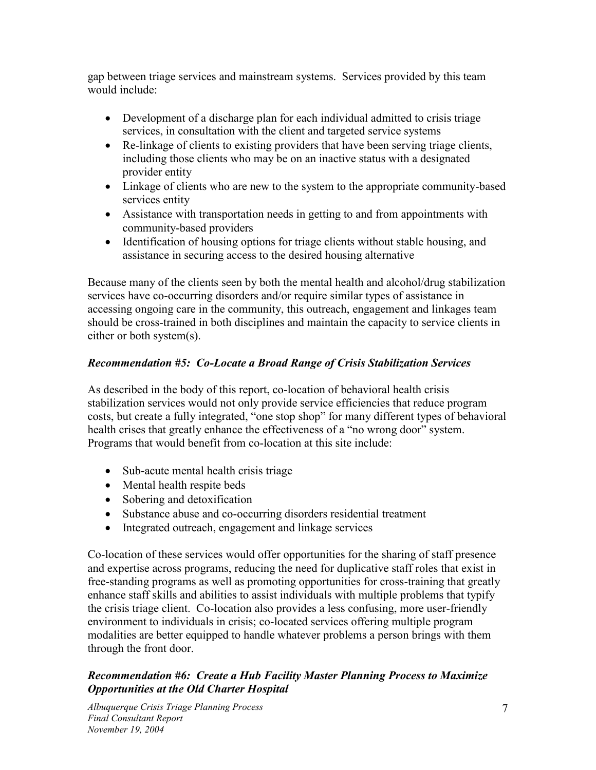gap between triage services and mainstream systems. Services provided by this team would include:

- Development of a discharge plan for each individual admitted to crisis triage services, in consultation with the client and targeted service systems
- Re-linkage of clients to existing providers that have been serving triage clients, including those clients who may be on an inactive status with a designated provider entity
- Linkage of clients who are new to the system to the appropriate community-based services entity
- Assistance with transportation needs in getting to and from appointments with community-based providers
- Identification of housing options for triage clients without stable housing, and assistance in securing access to the desired housing alternative

Because many of the clients seen by both the mental health and alcohol/drug stabilization services have co-occurring disorders and/or require similar types of assistance in accessing ongoing care in the community, this outreach, engagement and linkages team should be cross-trained in both disciplines and maintain the capacity to service clients in either or both system(s).

#### *Recommendation #5: Co-Locate a Broad Range of Crisis Stabilization Services*

As described in the body of this report, co-location of behavioral health crisis stabilization services would not only provide service efficiencies that reduce program costs, but create a fully integrated, "one stop shop" for many different types of behavioral health crises that greatly enhance the effectiveness of a "no wrong door" system. Programs that would benefit from co-location at this site include:

- Sub-acute mental health crisis triage
- Mental health respite beds
- Sobering and detoxification
- Substance abuse and co-occurring disorders residential treatment
- Integrated outreach, engagement and linkage services

Co-location of these services would offer opportunities for the sharing of staff presence and expertise across programs, reducing the need for duplicative staff roles that exist in free-standing programs as well as promoting opportunities for cross-training that greatly enhance staff skills and abilities to assist individuals with multiple problems that typify the crisis triage client. Co-location also provides a less confusing, more user-friendly environment to individuals in crisis; co-located services offering multiple program modalities are better equipped to handle whatever problems a person brings with them through the front door.

#### *Recommendation #6: Create a Hub Facility Master Planning Process to Maximize Opportunities at the Old Charter Hospital*

*Albuquerque Crisis Triage Planning Process Final Consultant Report November 19, 2004*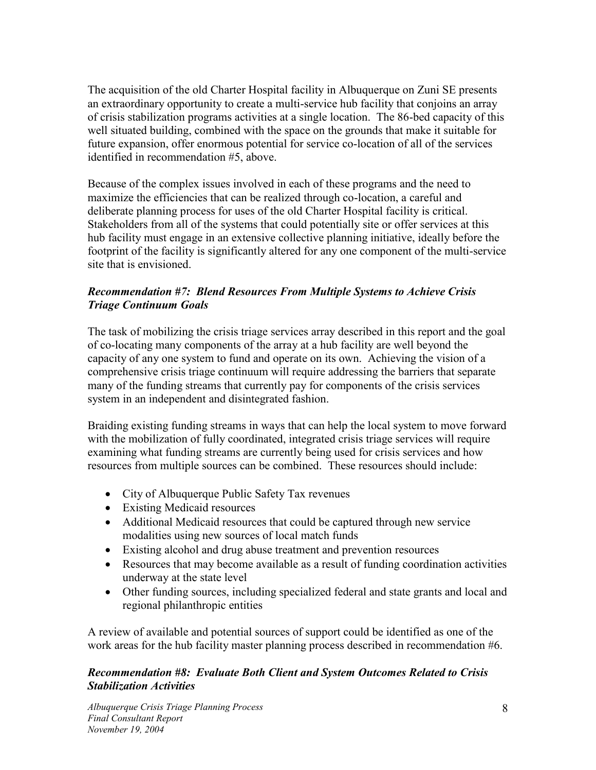The acquisition of the old Charter Hospital facility in Albuquerque on Zuni SE presents an extraordinary opportunity to create a multi-service hub facility that conjoins an array of crisis stabilization programs activities at a single location. The 86-bed capacity of this well situated building, combined with the space on the grounds that make it suitable for future expansion, offer enormous potential for service co-location of all of the services identified in recommendation #5, above.

Because of the complex issues involved in each of these programs and the need to maximize the efficiencies that can be realized through co-location, a careful and deliberate planning process for uses of the old Charter Hospital facility is critical. Stakeholders from all of the systems that could potentially site or offer services at this hub facility must engage in an extensive collective planning initiative, ideally before the footprint of the facility is significantly altered for any one component of the multi-service site that is envisioned.

#### *Recommendation #7: Blend Resources From Multiple Systems to Achieve Crisis Triage Continuum Goals*

The task of mobilizing the crisis triage services array described in this report and the goal of co-locating many components of the array at a hub facility are well beyond the capacity of any one system to fund and operate on its own. Achieving the vision of a comprehensive crisis triage continuum will require addressing the barriers that separate many of the funding streams that currently pay for components of the crisis services system in an independent and disintegrated fashion.

Braiding existing funding streams in ways that can help the local system to move forward with the mobilization of fully coordinated, integrated crisis triage services will require examining what funding streams are currently being used for crisis services and how resources from multiple sources can be combined. These resources should include:

- City of Albuquerque Public Safety Tax revenues
- Existing Medicaid resources
- Additional Medicaid resources that could be captured through new service modalities using new sources of local match funds
- Existing alcohol and drug abuse treatment and prevention resources
- Resources that may become available as a result of funding coordination activities underway at the state level
- Other funding sources, including specialized federal and state grants and local and regional philanthropic entities

A review of available and potential sources of support could be identified as one of the work areas for the hub facility master planning process described in recommendation #6.

#### *Recommendation #8: Evaluate Both Client and System Outcomes Related to Crisis Stabilization Activities*

*Albuquerque Crisis Triage Planning Process Final Consultant Report November 19, 2004*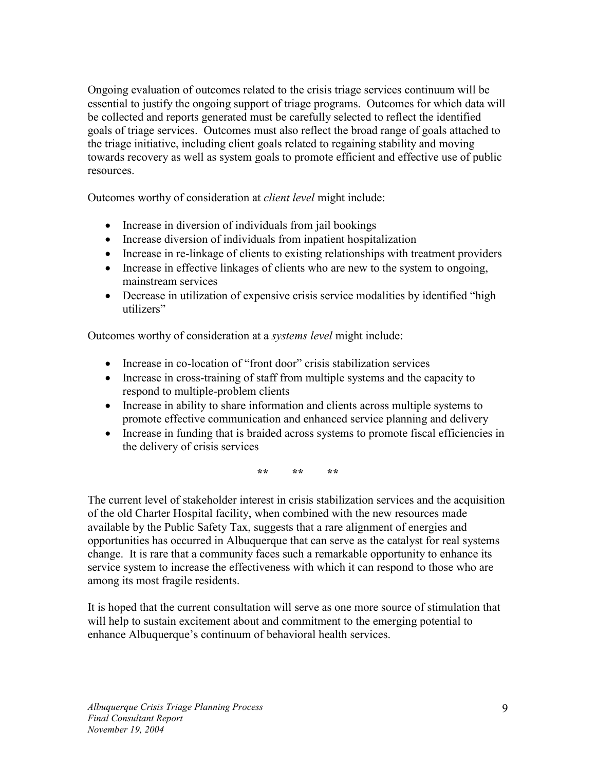Ongoing evaluation of outcomes related to the crisis triage services continuum will be essential to justify the ongoing support of triage programs. Outcomes for which data will be collected and reports generated must be carefully selected to reflect the identified goals of triage services. Outcomes must also reflect the broad range of goals attached to the triage initiative, including client goals related to regaining stability and moving towards recovery as well as system goals to promote efficient and effective use of public resources.

Outcomes worthy of consideration at *client level* might include:

- Increase in diversion of individuals from jail bookings
- Increase diversion of individuals from inpatient hospitalization
- Increase in re-linkage of clients to existing relationships with treatment providers
- Increase in effective linkages of clients who are new to the system to ongoing, mainstream services
- Decrease in utilization of expensive crisis service modalities by identified "high utilizers"

Outcomes worthy of consideration at a *systems level* might include:

- Increase in co-location of "front door" crisis stabilization services
- Increase in cross-training of staff from multiple systems and the capacity to respond to multiple-problem clients
- Increase in ability to share information and clients across multiple systems to promote effective communication and enhanced service planning and delivery
- Increase in funding that is braided across systems to promote fiscal efficiencies in the delivery of crisis services

**\*\* \*\* \*\***

The current level of stakeholder interest in crisis stabilization services and the acquisition of the old Charter Hospital facility, when combined with the new resources made available by the Public Safety Tax, suggests that a rare alignment of energies and opportunities has occurred in Albuquerque that can serve as the catalyst for real systems change. It is rare that a community faces such a remarkable opportunity to enhance its service system to increase the effectiveness with which it can respond to those who are among its most fragile residents.

It is hoped that the current consultation will serve as one more source of stimulation that will help to sustain excitement about and commitment to the emerging potential to enhance Albuquerque's continuum of behavioral health services.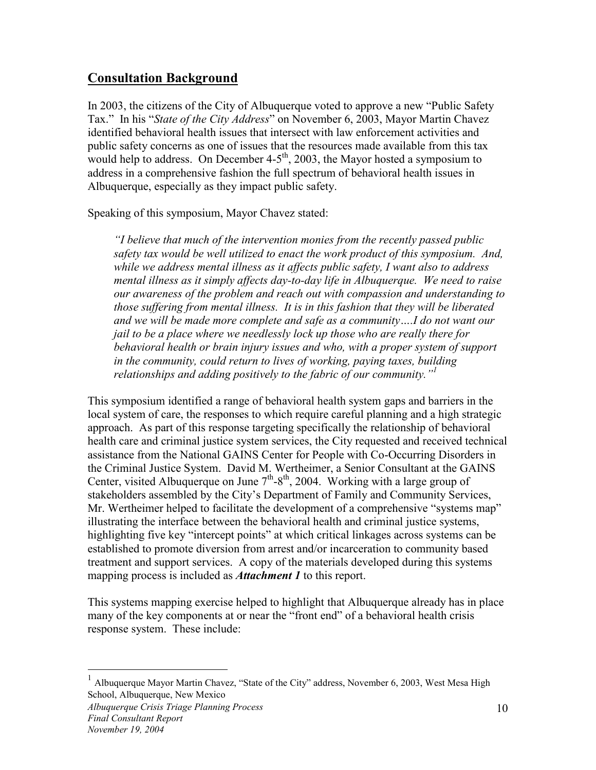# **Consultation Background**

In 2003, the citizens of the City of Albuquerque voted to approve a new "Public Safety Tax." In his "*State of the City Address*" on November 6, 2003, Mayor Martin Chavez identified behavioral health issues that intersect with law enforcement activities and public safety concerns as one of issues that the resources made available from this tax would help to address. On December  $4-5<sup>th</sup>$ , 2003, the Mayor hosted a symposium to address in a comprehensive fashion the full spectrum of behavioral health issues in Albuquerque, especially as they impact public safety.

Speaking of this symposium, Mayor Chavez stated:

*"I believe that much of the intervention monies from the recently passed public safety tax would be well utilized to enact the work product of this symposium. And, while we address mental illness as it affects public safety, I want also to address mental illness as it simply affects day-to-day life in Albuquerque. We need to raise our awareness of the problem and reach out with compassion and understanding to those suffering from mental illness. It is in this fashion that they will be liberated and we will be made more complete and safe as a community….I do not want our jail to be a place where we needlessly lock up those who are really there for behavioral health or brain injury issues and who, with a proper system of support in the community, could return to lives of working, paying taxes, building relationships and adding positively to the fabric of our community."<sup>1</sup>*

This symposium identified a range of behavioral health system gaps and barriers in the local system of care, the responses to which require careful planning and a high strategic approach. As part of this response targeting specifically the relationship of behavioral health care and criminal justice system services, the City requested and received technical assistance from the National GAINS Center for People with Co-Occurring Disorders in the Criminal Justice System. David M. Wertheimer, a Senior Consultant at the GAINS Center, visited Albuquerque on June  $7<sup>th</sup>$ -8<sup>th</sup>, 2004. Working with a large group of stakeholders assembled by the City's Department of Family and Community Services, Mr. Wertheimer helped to facilitate the development of a comprehensive "systems map" illustrating the interface between the behavioral health and criminal justice systems, highlighting five key "intercept points" at which critical linkages across systems can be established to promote diversion from arrest and/or incarceration to community based treatment and support services. A copy of the materials developed during this systems mapping process is included as *Attachment 1* to this report.

This systems mapping exercise helped to highlight that Albuquerque already has in place many of the key components at or near the "front end" of a behavioral health crisis response system. These include:

 $\overline{a}$ 

*Albuquerque Crisis Triage Planning Process* <sup>1</sup> Albuquerque Mayor Martin Chavez, "State of the City" address, November 6, 2003, West Mesa High School, Albuquerque, New Mexico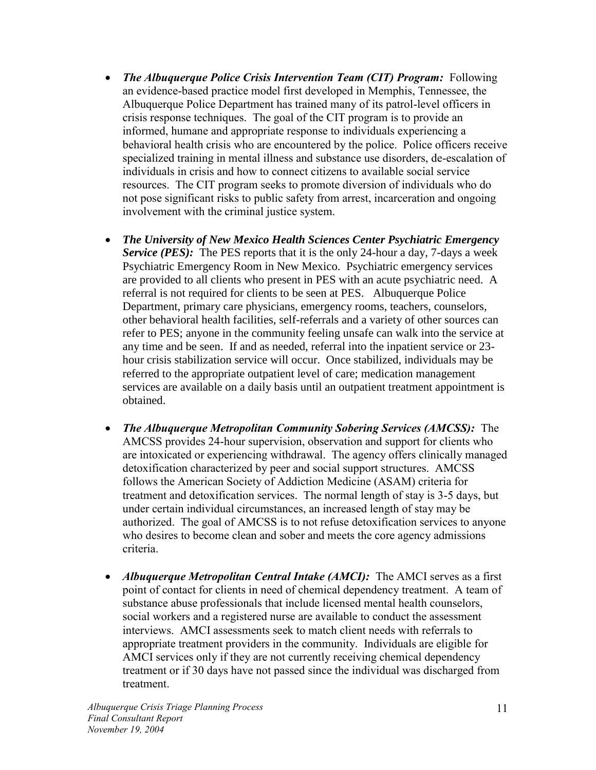- *The Albuquerque Police Crisis Intervention Team (CIT) Program:* Following an evidence-based practice model first developed in Memphis, Tennessee, the Albuquerque Police Department has trained many of its patrol-level officers in crisis response techniques. The goal of the CIT program is to provide an informed, humane and appropriate response to individuals experiencing a behavioral health crisis who are encountered by the police. Police officers receive specialized training in mental illness and substance use disorders, de-escalation of individuals in crisis and how to connect citizens to available social service resources. The CIT program seeks to promote diversion of individuals who do not pose significant risks to public safety from arrest, incarceration and ongoing involvement with the criminal justice system.
- *The University of New Mexico Health Sciences Center Psychiatric Emergency Service (PES):* The PES reports that it is the only 24-hour a day, 7-days a week Psychiatric Emergency Room in New Mexico. Psychiatric emergency services are provided to all clients who present in PES with an acute psychiatric need. A referral is not required for clients to be seen at PES. Albuquerque Police Department, primary care physicians, emergency rooms, teachers, counselors, other behavioral health facilities, self-referrals and a variety of other sources can refer to PES; anyone in the community feeling unsafe can walk into the service at any time and be seen. If and as needed, referral into the inpatient service or 23 hour crisis stabilization service will occur. Once stabilized, individuals may be referred to the appropriate outpatient level of care; medication management services are available on a daily basis until an outpatient treatment appointment is obtained.
- *The Albuquerque Metropolitan Community Sobering Services (AMCSS):* The AMCSS provides 24-hour supervision, observation and support for clients who are intoxicated or experiencing withdrawal. The agency offers clinically managed detoxification characterized by peer and social support structures. AMCSS follows the American Society of Addiction Medicine (ASAM) criteria for treatment and detoxification services. The normal length of stay is 3-5 days, but under certain individual circumstances, an increased length of stay may be authorized. The goal of AMCSS is to not refuse detoxification services to anyone who desires to become clean and sober and meets the core agency admissions criteria.
- *Albuquerque Metropolitan Central Intake (AMCI):* The AMCI serves as a first point of contact for clients in need of chemical dependency treatment. A team of substance abuse professionals that include licensed mental health counselors, social workers and a registered nurse are available to conduct the assessment interviews. AMCI assessments seek to match client needs with referrals to appropriate treatment providers in the community. Individuals are eligible for AMCI services only if they are not currently receiving chemical dependency treatment or if 30 days have not passed since the individual was discharged from treatment.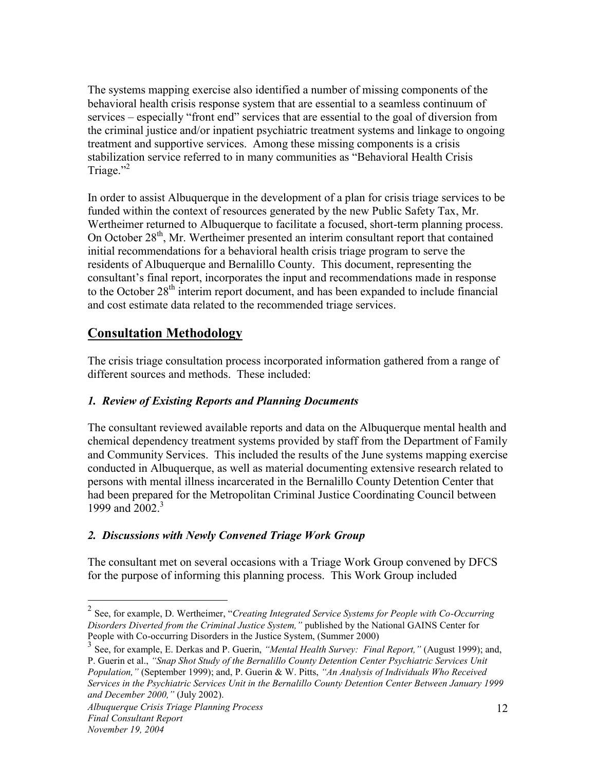The systems mapping exercise also identified a number of missing components of the behavioral health crisis response system that are essential to a seamless continuum of services – especially "front end" services that are essential to the goal of diversion from the criminal justice and/or inpatient psychiatric treatment systems and linkage to ongoing treatment and supportive services. Among these missing components is a crisis stabilization service referred to in many communities as "Behavioral Health Crisis Triage." $2$ 

In order to assist Albuquerque in the development of a plan for crisis triage services to be funded within the context of resources generated by the new Public Safety Tax, Mr. Wertheimer returned to Albuquerque to facilitate a focused, short-term planning process. On October 28<sup>th</sup>, Mr. Wertheimer presented an interim consultant report that contained initial recommendations for a behavioral health crisis triage program to serve the residents of Albuquerque and Bernalillo County. This document, representing the consultant's final report, incorporates the input and recommendations made in response to the October  $28<sup>th</sup>$  interim report document, and has been expanded to include financial and cost estimate data related to the recommended triage services.

# **Consultation Methodology**

The crisis triage consultation process incorporated information gathered from a range of different sources and methods. These included:

# *1. Review of Existing Reports and Planning Documents*

The consultant reviewed available reports and data on the Albuquerque mental health and chemical dependency treatment systems provided by staff from the Department of Family and Community Services. This included the results of the June systems mapping exercise conducted in Albuquerque, as well as material documenting extensive research related to persons with mental illness incarcerated in the Bernalillo County Detention Center that had been prepared for the Metropolitan Criminal Justice Coordinating Council between 1999 and 2002.<sup>3</sup>

# *2. Discussions with Newly Convened Triage Work Group*

The consultant met on several occasions with a Triage Work Group convened by DFCS for the purpose of informing this planning process. This Work Group included

 2 See, for example, D. Wertheimer, "*Creating Integrated Service Systems for People with Co-Occurring Disorders Diverted from the Criminal Justice System,"* published by the National GAINS Center for People with Co-occurring Disorders in the Justice System, (Summer 2000)

<sup>3</sup> See, for example, E. Derkas and P. Guerin, *"Mental Health Survey: Final Report,"* (August 1999); and, P. Guerin et al., *"Snap Shot Study of the Bernalillo County Detention Center Psychiatric Services Unit Population,"* (September 1999); and, P. Guerin & W. Pitts, *"An Analysis of Individuals Who Received Services in the Psychiatric Services Unit in the Bernalillo County Detention Center Between January 1999 and December 2000,"* (July 2002).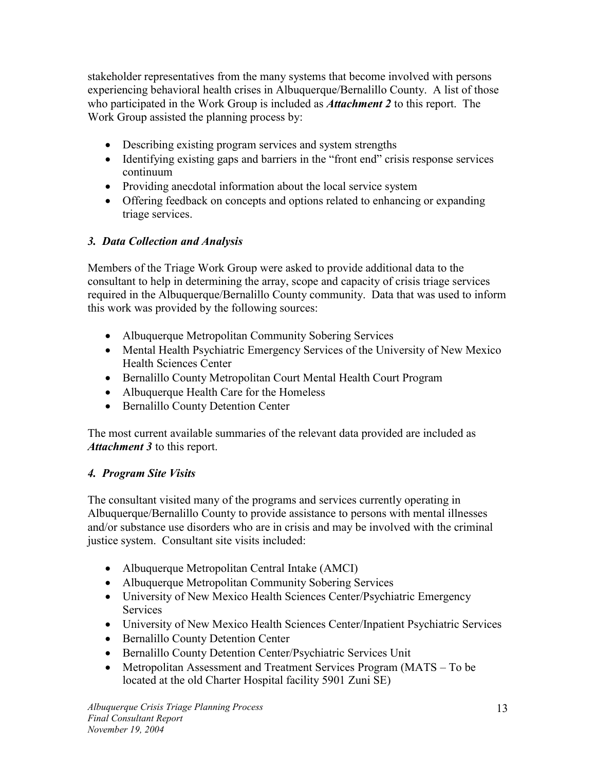stakeholder representatives from the many systems that become involved with persons experiencing behavioral health crises in Albuquerque/Bernalillo County. A list of those who participated in the Work Group is included as *Attachment 2* to this report. The Work Group assisted the planning process by:

- Describing existing program services and system strengths
- Identifying existing gaps and barriers in the "front end" crisis response services continuum
- Providing anecdotal information about the local service system
- Offering feedback on concepts and options related to enhancing or expanding triage services.

# *3. Data Collection and Analysis*

Members of the Triage Work Group were asked to provide additional data to the consultant to help in determining the array, scope and capacity of crisis triage services required in the Albuquerque/Bernalillo County community. Data that was used to inform this work was provided by the following sources:

- Albuquerque Metropolitan Community Sobering Services
- Mental Health Psychiatric Emergency Services of the University of New Mexico Health Sciences Center
- Bernalillo County Metropolitan Court Mental Health Court Program
- Albuquerque Health Care for the Homeless
- Bernalillo County Detention Center

The most current available summaries of the relevant data provided are included as *Attachment 3* to this report.

#### *4. Program Site Visits*

The consultant visited many of the programs and services currently operating in Albuquerque/Bernalillo County to provide assistance to persons with mental illnesses and/or substance use disorders who are in crisis and may be involved with the criminal justice system. Consultant site visits included:

- Albuquerque Metropolitan Central Intake (AMCI)
- Albuquerque Metropolitan Community Sobering Services
- University of New Mexico Health Sciences Center/Psychiatric Emergency Services
- University of New Mexico Health Sciences Center/Inpatient Psychiatric Services
- Bernalillo County Detention Center
- Bernalillo County Detention Center/Psychiatric Services Unit
- Metropolitan Assessment and Treatment Services Program (MATS To be located at the old Charter Hospital facility 5901 Zuni SE)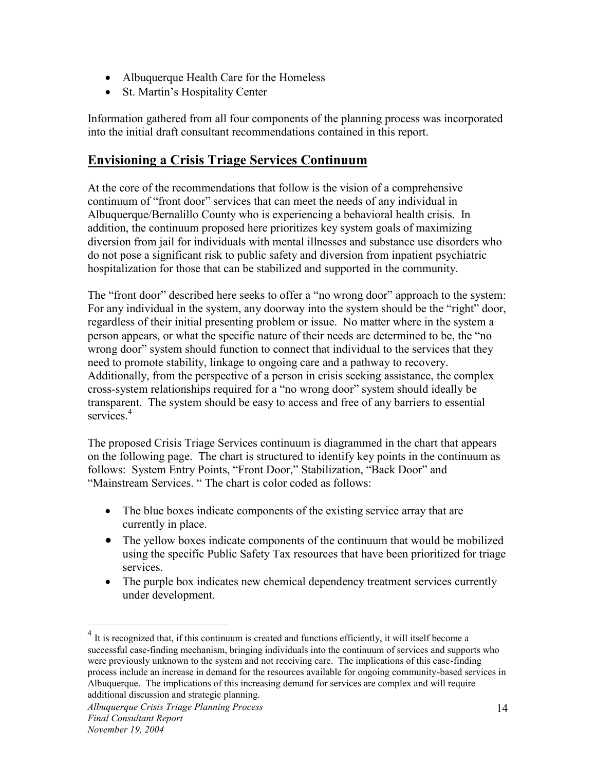- Albuquerque Health Care for the Homeless
- St. Martin's Hospitality Center

Information gathered from all four components of the planning process was incorporated into the initial draft consultant recommendations contained in this report.

## **Envisioning a Crisis Triage Services Continuum**

At the core of the recommendations that follow is the vision of a comprehensive continuum of "front door" services that can meet the needs of any individual in Albuquerque/Bernalillo County who is experiencing a behavioral health crisis. In addition, the continuum proposed here prioritizes key system goals of maximizing diversion from jail for individuals with mental illnesses and substance use disorders who do not pose a significant risk to public safety and diversion from inpatient psychiatric hospitalization for those that can be stabilized and supported in the community.

The "front door" described here seeks to offer a "no wrong door" approach to the system: For any individual in the system, any doorway into the system should be the "right" door, regardless of their initial presenting problem or issue. No matter where in the system a person appears, or what the specific nature of their needs are determined to be, the "no wrong door" system should function to connect that individual to the services that they need to promote stability, linkage to ongoing care and a pathway to recovery. Additionally, from the perspective of a person in crisis seeking assistance, the complex cross-system relationships required for a "no wrong door" system should ideally be transparent. The system should be easy to access and free of any barriers to essential services.<sup>4</sup>

The proposed Crisis Triage Services continuum is diagrammed in the chart that appears on the following page. The chart is structured to identify key points in the continuum as follows: System Entry Points, "Front Door," Stabilization, "Back Door" and "Mainstream Services. " The chart is color coded as follows:

- The blue boxes indicate components of the existing service array that are currently in place.
- The yellow boxes indicate components of the continuum that would be mobilized using the specific Public Safety Tax resources that have been prioritized for triage services.
- The purple box indicates new chemical dependency treatment services currently under development.

<sup>&</sup>lt;sup>4</sup> It is recognized that, if this continuum is created and functions efficiently, it will itself become a successful case-finding mechanism, bringing individuals into the continuum of services and supports who were previously unknown to the system and not receiving care. The implications of this case-finding process include an increase in demand for the resources available for ongoing community-based services in Albuquerque. The implications of this increasing demand for services are complex and will require additional discussion and strategic planning.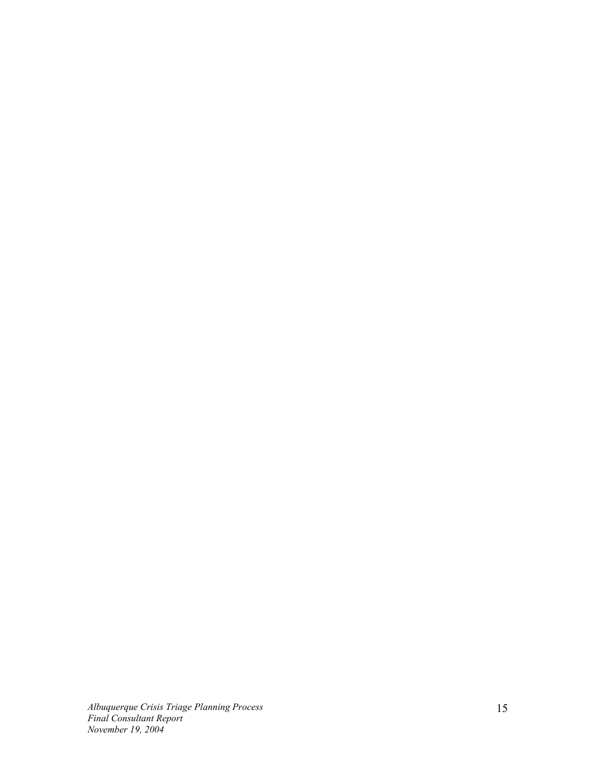*Albuquerque Crisis Triage Planning Process Final Consultant Report November 19, 2004*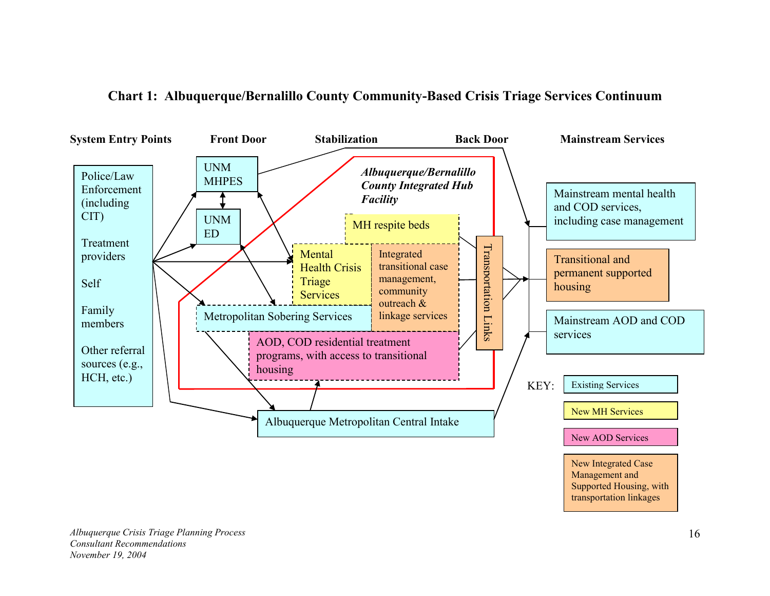

#### **Chart 1: Albuquerque/Bernalillo County Community-Based Crisis Triage Services Continuum**

*Albuquerque Crisis Triage Planning Process Consultant Recommendations November 19, 2004*

Supported Housing, with transportation linkages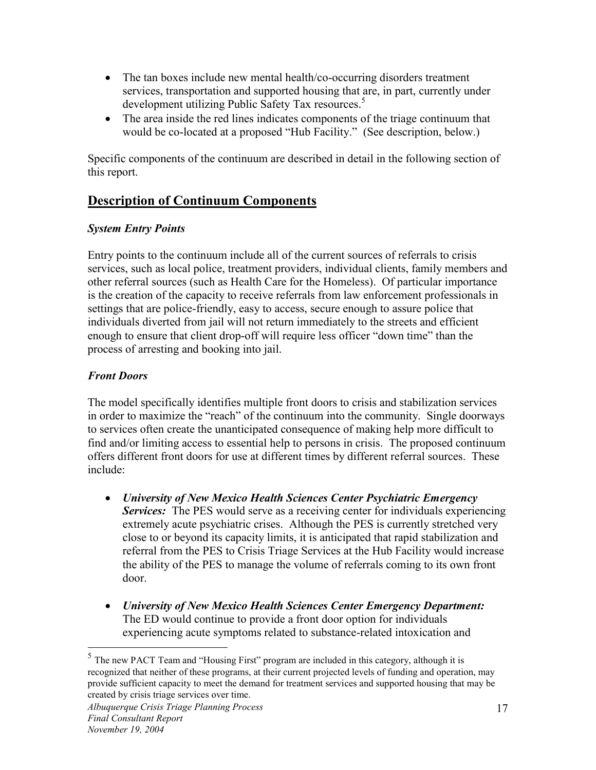- The tan boxes include new mental health/co-occurring disorders treatment services, transportation and supported housing that are, in part, currently under development utilizing Public Safety Tax resources.<sup>5</sup>
- The area inside the red lines indicates components of the triage continuum that would be co-located at a proposed "Hub Facility." (See description, below.)

Specific components of the continuum are described in detail in the following section of this report.

# **Description of Continuum Components**

### *System Entry Points*

Entry points to the continuum include all of the current sources of referrals to crisis services, such as local police, treatment providers, individual clients, family members and other referral sources (such as Health Care for the Homeless). Of particular importance is the creation of the capacity to receive referrals from law enforcement professionals in settings that are police-friendly, easy to access, secure enough to assure police that individuals diverted from jail will not return immediately to the streets and efficient enough to ensure that client drop-off will require less officer "down time" than the process of arresting and booking into jail.

# *Front Doors*

The model specifically identifies multiple front doors to crisis and stabilization services in order to maximize the "reach" of the continuum into the community. Single doorways to services often create the unanticipated consequence of making help more difficult to find and/or limiting access to essential help to persons in crisis. The proposed continuum offers different front doors for use at different times by different referral sources. These include:

- *University of New Mexico Health Sciences Center Psychiatric Emergency Services:* The PES would serve as a receiving center for individuals experiencing extremely acute psychiatric crises. Although the PES is currently stretched very close to or beyond its capacity limits, it is anticipated that rapid stabilization and referral from the PES to Crisis Triage Services at the Hub Facility would increase the ability of the PES to manage the volume of referrals coming to its own front door.
- *University of New Mexico Health Sciences Center Emergency Department:* The ED would continue to provide a front door option for individuals experiencing acute symptoms related to substance-related intoxication and

<sup>&</sup>lt;sup>5</sup> The new PACT Team and "Housing First" program are included in this category, although it is recognized that neither of these programs, at their current projected levels of funding and operation, may provide sufficient capacity to meet the demand for treatment services and supported housing that may be created by crisis triage services over time.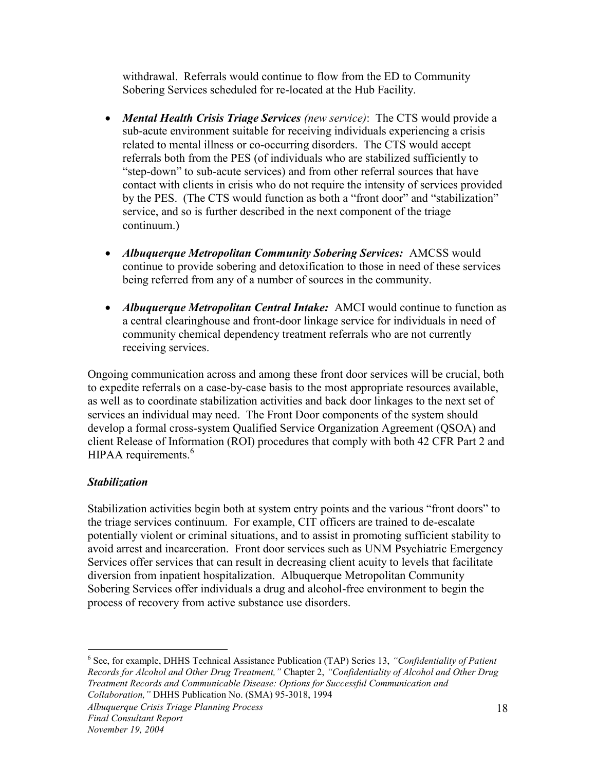withdrawal. Referrals would continue to flow from the ED to Community Sobering Services scheduled for re-located at the Hub Facility.

- *Mental Health Crisis Triage Services (new service)*: The CTS would provide a sub-acute environment suitable for receiving individuals experiencing a crisis related to mental illness or co-occurring disorders. The CTS would accept referrals both from the PES (of individuals who are stabilized sufficiently to "step-down" to sub-acute services) and from other referral sources that have contact with clients in crisis who do not require the intensity of services provided by the PES. (The CTS would function as both a "front door" and "stabilization" service, and so is further described in the next component of the triage continuum.)
- *Albuquerque Metropolitan Community Sobering Services:* AMCSS would continue to provide sobering and detoxification to those in need of these services being referred from any of a number of sources in the community.
- *Albuquerque Metropolitan Central Intake:* AMCI would continue to function as a central clearinghouse and front-door linkage service for individuals in need of community chemical dependency treatment referrals who are not currently receiving services.

Ongoing communication across and among these front door services will be crucial, both to expedite referrals on a case-by-case basis to the most appropriate resources available, as well as to coordinate stabilization activities and back door linkages to the next set of services an individual may need. The Front Door components of the system should develop a formal cross-system Qualified Service Organization Agreement (QSOA) and client Release of Information (ROI) procedures that comply with both 42 CFR Part 2 and HIPAA requirements.<sup>6</sup>

# *Stabilization*

Stabilization activities begin both at system entry points and the various "front doors" to the triage services continuum. For example, CIT officers are trained to de-escalate potentially violent or criminal situations, and to assist in promoting sufficient stability to avoid arrest and incarceration. Front door services such as UNM Psychiatric Emergency Services offer services that can result in decreasing client acuity to levels that facilitate diversion from inpatient hospitalization. Albuquerque Metropolitan Community Sobering Services offer individuals a drug and alcohol-free environment to begin the process of recovery from active substance use disorders.

 $\overline{a}$ 6 See, for example, DHHS Technical Assistance Publication (TAP) Series 13, *"Confidentiality of Patient Records for Alcohol and Other Drug Treatment,"* Chapter 2, *"Confidentiality of Alcohol and Other Drug Treatment Records and Communicable Disease: Options for Successful Communication and Collaboration,"* DHHS Publication No. (SMA) 95-3018, 1994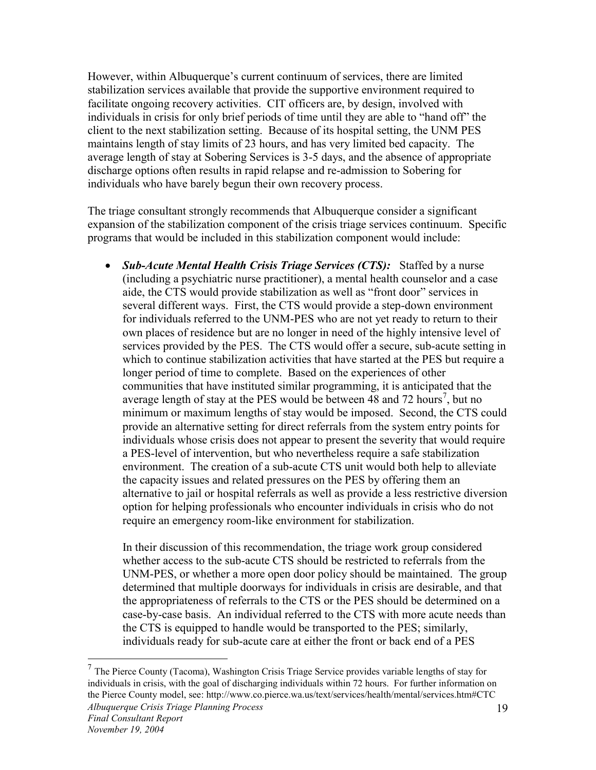However, within Albuquerque's current continuum of services, there are limited stabilization services available that provide the supportive environment required to facilitate ongoing recovery activities. CIT officers are, by design, involved with individuals in crisis for only brief periods of time until they are able to "hand off" the client to the next stabilization setting. Because of its hospital setting, the UNM PES maintains length of stay limits of 23 hours, and has very limited bed capacity. The average length of stay at Sobering Services is 3-5 days, and the absence of appropriate discharge options often results in rapid relapse and re-admission to Sobering for individuals who have barely begun their own recovery process.

The triage consultant strongly recommends that Albuquerque consider a significant expansion of the stabilization component of the crisis triage services continuum. Specific programs that would be included in this stabilization component would include:

• *Sub-Acute Mental Health Crisis Triage Services (CTS):* Staffed by a nurse (including a psychiatric nurse practitioner), a mental health counselor and a case aide, the CTS would provide stabilization as well as "front door" services in several different ways. First, the CTS would provide a step-down environment for individuals referred to the UNM-PES who are not yet ready to return to their own places of residence but are no longer in need of the highly intensive level of services provided by the PES. The CTS would offer a secure, sub-acute setting in which to continue stabilization activities that have started at the PES but require a longer period of time to complete. Based on the experiences of other communities that have instituted similar programming, it is anticipated that the average length of stay at the PES would be between  $\overline{48}$  and  $\overline{72}$  hours<sup>7</sup>, but no minimum or maximum lengths of stay would be imposed. Second, the CTS could provide an alternative setting for direct referrals from the system entry points for individuals whose crisis does not appear to present the severity that would require a PES-level of intervention, but who nevertheless require a safe stabilization environment. The creation of a sub-acute CTS unit would both help to alleviate the capacity issues and related pressures on the PES by offering them an alternative to jail or hospital referrals as well as provide a less restrictive diversion option for helping professionals who encounter individuals in crisis who do not require an emergency room-like environment for stabilization.

In their discussion of this recommendation, the triage work group considered whether access to the sub-acute CTS should be restricted to referrals from the UNM-PES, or whether a more open door policy should be maintained. The group determined that multiple doorways for individuals in crisis are desirable, and that the appropriateness of referrals to the CTS or the PES should be determined on a case-by-case basis. An individual referred to the CTS with more acute needs than the CTS is equipped to handle would be transported to the PES; similarly, individuals ready for sub-acute care at either the front or back end of a PES

 $<sup>7</sup>$  The Pierce County (Tacoma), Washington Crisis Triage Service provides variable lengths of stay for</sup> individuals in crisis, with the goal of discharging individuals within 72 hours. For further information on the Pierce County model, see: http://www.co.pierce.wa.us/text/services/health/mental/services.htm#CTC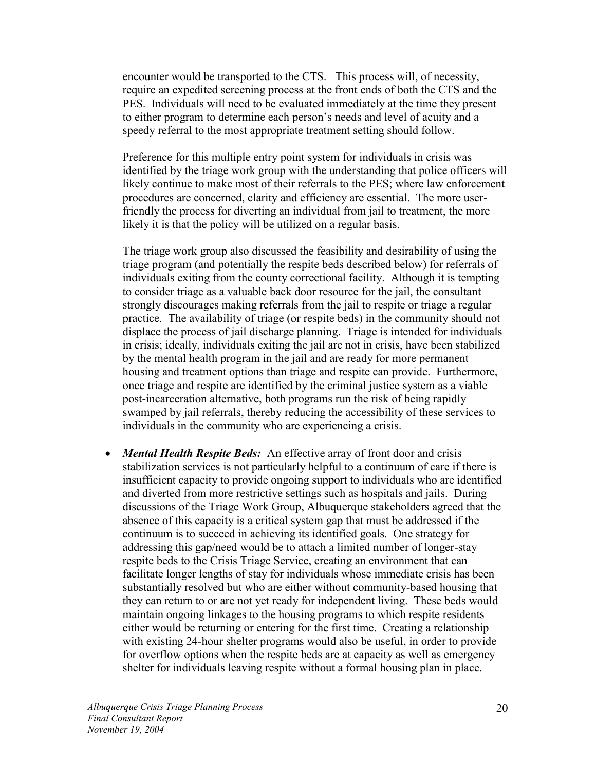encounter would be transported to the CTS. This process will, of necessity, require an expedited screening process at the front ends of both the CTS and the PES. Individuals will need to be evaluated immediately at the time they present to either program to determine each person's needs and level of acuity and a speedy referral to the most appropriate treatment setting should follow.

Preference for this multiple entry point system for individuals in crisis was identified by the triage work group with the understanding that police officers will likely continue to make most of their referrals to the PES; where law enforcement procedures are concerned, clarity and efficiency are essential. The more userfriendly the process for diverting an individual from jail to treatment, the more likely it is that the policy will be utilized on a regular basis.

The triage work group also discussed the feasibility and desirability of using the triage program (and potentially the respite beds described below) for referrals of individuals exiting from the county correctional facility. Although it is tempting to consider triage as a valuable back door resource for the jail, the consultant strongly discourages making referrals from the jail to respite or triage a regular practice. The availability of triage (or respite beds) in the community should not displace the process of jail discharge planning. Triage is intended for individuals in crisis; ideally, individuals exiting the jail are not in crisis, have been stabilized by the mental health program in the jail and are ready for more permanent housing and treatment options than triage and respite can provide. Furthermore, once triage and respite are identified by the criminal justice system as a viable post-incarceration alternative, both programs run the risk of being rapidly swamped by jail referrals, thereby reducing the accessibility of these services to individuals in the community who are experiencing a crisis.

• *Mental Health Respite Beds:* An effective array of front door and crisis stabilization services is not particularly helpful to a continuum of care if there is insufficient capacity to provide ongoing support to individuals who are identified and diverted from more restrictive settings such as hospitals and jails. During discussions of the Triage Work Group, Albuquerque stakeholders agreed that the absence of this capacity is a critical system gap that must be addressed if the continuum is to succeed in achieving its identified goals. One strategy for addressing this gap/need would be to attach a limited number of longer-stay respite beds to the Crisis Triage Service, creating an environment that can facilitate longer lengths of stay for individuals whose immediate crisis has been substantially resolved but who are either without community-based housing that they can return to or are not yet ready for independent living. These beds would maintain ongoing linkages to the housing programs to which respite residents either would be returning or entering for the first time. Creating a relationship with existing 24-hour shelter programs would also be useful, in order to provide for overflow options when the respite beds are at capacity as well as emergency shelter for individuals leaving respite without a formal housing plan in place.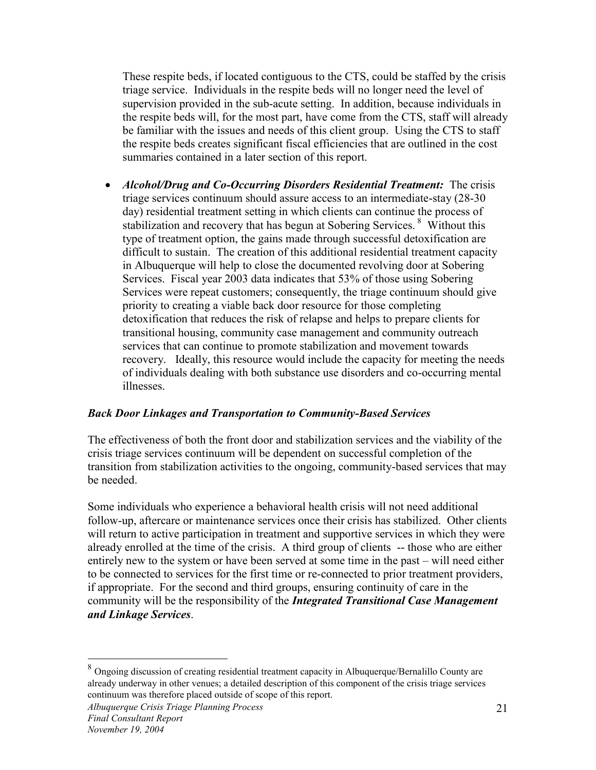These respite beds, if located contiguous to the CTS, could be staffed by the crisis triage service. Individuals in the respite beds will no longer need the level of supervision provided in the sub-acute setting. In addition, because individuals in the respite beds will, for the most part, have come from the CTS, staff will already be familiar with the issues and needs of this client group. Using the CTS to staff the respite beds creates significant fiscal efficiencies that are outlined in the cost summaries contained in a later section of this report.

• *Alcohol/Drug and Co-Occurring Disorders Residential Treatment:* The crisis triage services continuum should assure access to an intermediate-stay (28-30 day) residential treatment setting in which clients can continue the process of stabilization and recovery that has begun at Sobering Services.<sup>8</sup> Without this type of treatment option, the gains made through successful detoxification are difficult to sustain. The creation of this additional residential treatment capacity in Albuquerque will help to close the documented revolving door at Sobering Services. Fiscal year 2003 data indicates that 53% of those using Sobering Services were repeat customers; consequently, the triage continuum should give priority to creating a viable back door resource for those completing detoxification that reduces the risk of relapse and helps to prepare clients for transitional housing, community case management and community outreach services that can continue to promote stabilization and movement towards recovery. Ideally, this resource would include the capacity for meeting the needs of individuals dealing with both substance use disorders and co-occurring mental illnesses.

#### *Back Door Linkages and Transportation to Community-Based Services*

The effectiveness of both the front door and stabilization services and the viability of the crisis triage services continuum will be dependent on successful completion of the transition from stabilization activities to the ongoing, community-based services that may be needed.

Some individuals who experience a behavioral health crisis will not need additional follow-up, aftercare or maintenance services once their crisis has stabilized. Other clients will return to active participation in treatment and supportive services in which they were already enrolled at the time of the crisis. A third group of clients -- those who are either entirely new to the system or have been served at some time in the past – will need either to be connected to services for the first time or re-connected to prior treatment providers, if appropriate. For the second and third groups, ensuring continuity of care in the community will be the responsibility of the *Integrated Transitional Case Management and Linkage Services*.

<sup>&</sup>lt;sup>8</sup> Ongoing discussion of creating residential treatment capacity in Albuquerque/Bernalillo County are already underway in other venues; a detailed description of this component of the crisis triage services continuum was therefore placed outside of scope of this report.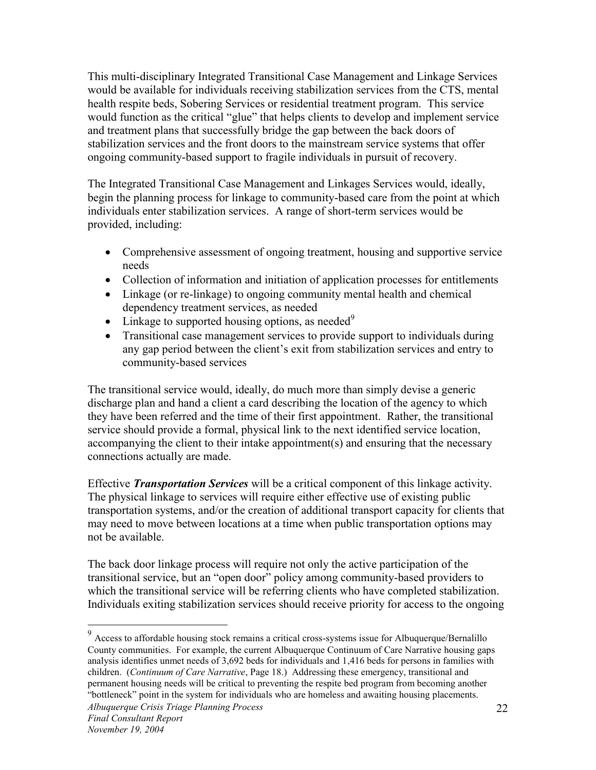This multi-disciplinary Integrated Transitional Case Management and Linkage Services would be available for individuals receiving stabilization services from the CTS, mental health respite beds, Sobering Services or residential treatment program. This service would function as the critical "glue" that helps clients to develop and implement service and treatment plans that successfully bridge the gap between the back doors of stabilization services and the front doors to the mainstream service systems that offer ongoing community-based support to fragile individuals in pursuit of recovery.

The Integrated Transitional Case Management and Linkages Services would, ideally, begin the planning process for linkage to community-based care from the point at which individuals enter stabilization services. A range of short-term services would be provided, including:

- Comprehensive assessment of ongoing treatment, housing and supportive service needs
- Collection of information and initiation of application processes for entitlements
- Linkage (or re-linkage) to ongoing community mental health and chemical dependency treatment services, as needed
- Linkage to supported housing options, as needed<sup>9</sup>
- Transitional case management services to provide support to individuals during any gap period between the client's exit from stabilization services and entry to community-based services

The transitional service would, ideally, do much more than simply devise a generic discharge plan and hand a client a card describing the location of the agency to which they have been referred and the time of their first appointment. Rather, the transitional service should provide a formal, physical link to the next identified service location, accompanying the client to their intake appointment(s) and ensuring that the necessary connections actually are made.

Effective *Transportation Services* will be a critical component of this linkage activity. The physical linkage to services will require either effective use of existing public transportation systems, and/or the creation of additional transport capacity for clients that may need to move between locations at a time when public transportation options may not be available.

The back door linkage process will require not only the active participation of the transitional service, but an "open door" policy among community-based providers to which the transitional service will be referring clients who have completed stabilization. Individuals exiting stabilization services should receive priority for access to the ongoing

 9 Access to affordable housing stock remains a critical cross-systems issue for Albuquerque/Bernalillo County communities. For example, the current Albuquerque Continuum of Care Narrative housing gaps analysis identifies unmet needs of 3,692 beds for individuals and 1,416 beds for persons in families with children. (*Continuum of Care Narrative*, Page 18.) Addressing these emergency, transitional and permanent housing needs will be critical to preventing the respite bed program from becoming another "bottleneck" point in the system for individuals who are homeless and awaiting housing placements.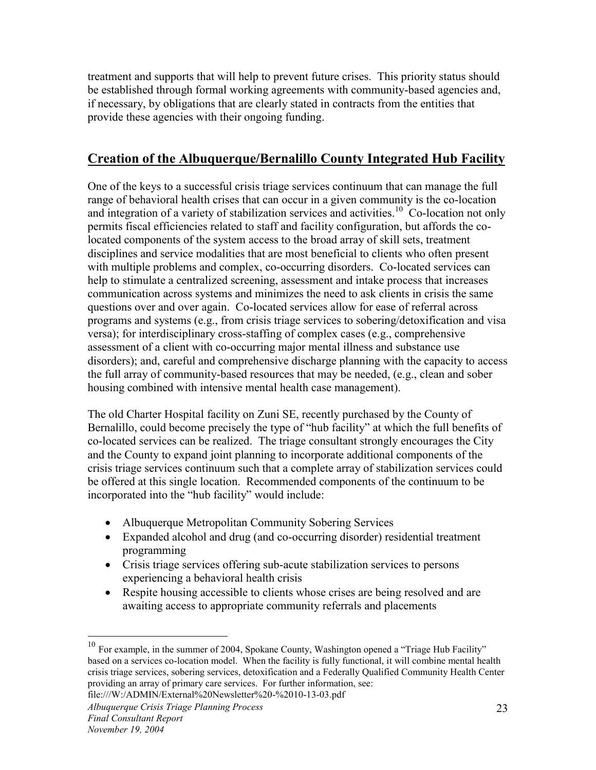treatment and supports that will help to prevent future crises. This priority status should be established through formal working agreements with community-based agencies and, if necessary, by obligations that are clearly stated in contracts from the entities that provide these agencies with their ongoing funding.

# **Creation of the Albuquerque/Bernalillo County Integrated Hub Facility**

One of the keys to a successful crisis triage services continuum that can manage the full range of behavioral health crises that can occur in a given community is the co-location and integration of a variety of stabilization services and activities.<sup>10</sup> Co-location not only permits fiscal efficiencies related to staff and facility configuration, but affords the colocated components of the system access to the broad array of skill sets, treatment disciplines and service modalities that are most beneficial to clients who often present with multiple problems and complex, co-occurring disorders. Co-located services can help to stimulate a centralized screening, assessment and intake process that increases communication across systems and minimizes the need to ask clients in crisis the same questions over and over again. Co-located services allow for ease of referral across programs and systems (e.g., from crisis triage services to sobering/detoxification and visa versa); for interdisciplinary cross-staffing of complex cases (e.g., comprehensive assessment of a client with co-occurring major mental illness and substance use disorders); and, careful and comprehensive discharge planning with the capacity to access the full array of community-based resources that may be needed, (e.g., clean and sober housing combined with intensive mental health case management).

The old Charter Hospital facility on Zuni SE, recently purchased by the County of Bernalillo, could become precisely the type of "hub facility" at which the full benefits of co-located services can be realized. The triage consultant strongly encourages the City and the County to expand joint planning to incorporate additional components of the crisis triage services continuum such that a complete array of stabilization services could be offered at this single location. Recommended components of the continuum to be incorporated into the "hub facility" would include:

- Albuquerque Metropolitan Community Sobering Services
- Expanded alcohol and drug (and co-occurring disorder) residential treatment programming
- Crisis triage services offering sub-acute stabilization services to persons experiencing a behavioral health crisis
- Respite housing accessible to clients whose crises are being resolved and are awaiting access to appropriate community referrals and placements

 $\overline{a}$ 

 $10$  For example, in the summer of 2004, Spokane County, Washington opened a "Triage Hub Facility" based on a services co-location model. When the facility is fully functional, it will combine mental health crisis triage services, sobering services, detoxification and a Federally Qualified Community Health Center providing an array of primary care services. For further information, see: file:///W:/ADMIN/External%20Newsletter%20-%2010-13-03.pdf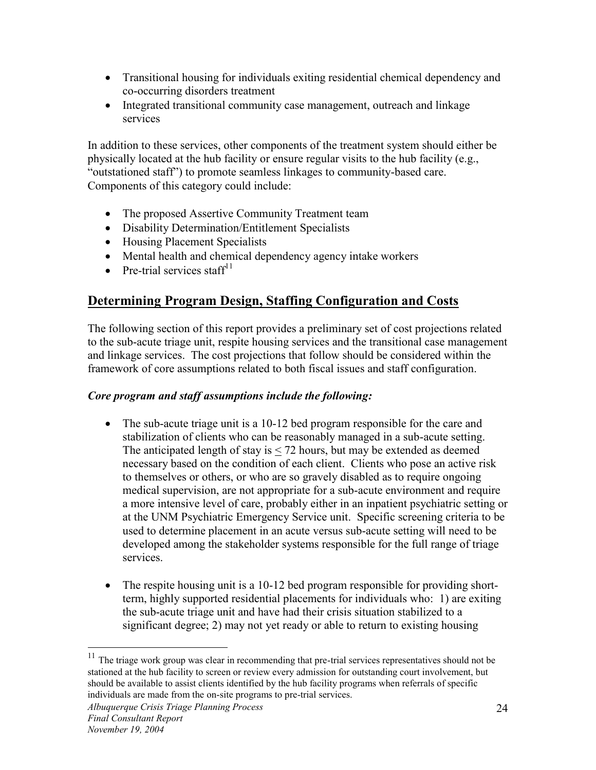- Transitional housing for individuals exiting residential chemical dependency and co-occurring disorders treatment
- Integrated transitional community case management, outreach and linkage services

In addition to these services, other components of the treatment system should either be physically located at the hub facility or ensure regular visits to the hub facility (e.g., "outstationed staff") to promote seamless linkages to community-based care. Components of this category could include:

- The proposed Assertive Community Treatment team
- Disability Determination/Entitlement Specialists
- Housing Placement Specialists
- Mental health and chemical dependency agency intake workers
- $\bullet$  Pre-trial services staff<sup>11</sup>

# **Determining Program Design, Staffing Configuration and Costs**

The following section of this report provides a preliminary set of cost projections related to the sub-acute triage unit, respite housing services and the transitional case management and linkage services. The cost projections that follow should be considered within the framework of core assumptions related to both fiscal issues and staff configuration.

#### *Core program and staff assumptions include the following:*

- The sub-acute triage unit is a 10-12 bed program responsible for the care and stabilization of clients who can be reasonably managed in a sub-acute setting. The anticipated length of stay is < 72 hours, but may be extended as deemed necessary based on the condition of each client. Clients who pose an active risk to themselves or others, or who are so gravely disabled as to require ongoing medical supervision, are not appropriate for a sub-acute environment and require a more intensive level of care, probably either in an inpatient psychiatric setting or at the UNM Psychiatric Emergency Service unit. Specific screening criteria to be used to determine placement in an acute versus sub-acute setting will need to be developed among the stakeholder systems responsible for the full range of triage services.
- The respite housing unit is a 10-12 bed program responsible for providing shortterm, highly supported residential placements for individuals who: 1) are exiting the sub-acute triage unit and have had their crisis situation stabilized to a significant degree; 2) may not yet ready or able to return to existing housing

 $\overline{a}$ 

 $11$  The triage work group was clear in recommending that pre-trial services representatives should not be stationed at the hub facility to screen or review every admission for outstanding court involvement, but should be available to assist clients identified by the hub facility programs when referrals of specific individuals are made from the on-site programs to pre-trial services.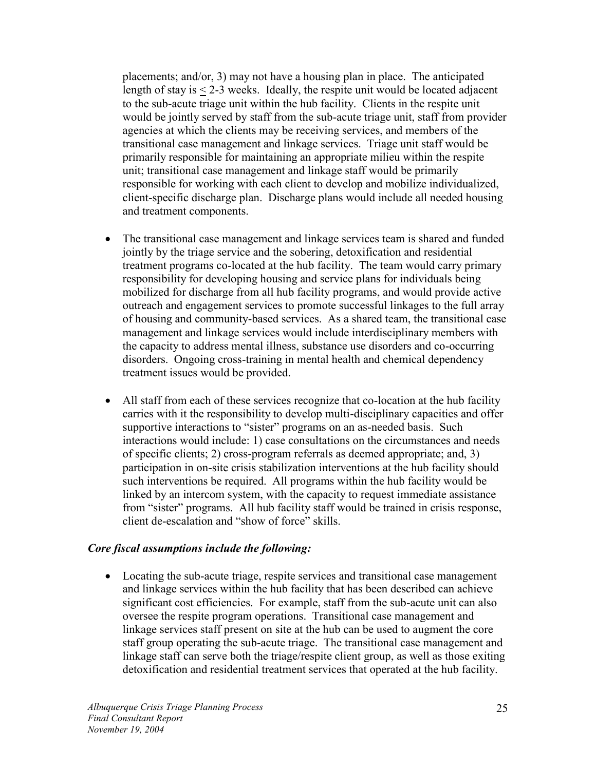placements; and/or, 3) may not have a housing plan in place. The anticipated length of stay is  $\leq$  2-3 weeks. Ideally, the respite unit would be located adjacent to the sub-acute triage unit within the hub facility. Clients in the respite unit would be jointly served by staff from the sub-acute triage unit, staff from provider agencies at which the clients may be receiving services, and members of the transitional case management and linkage services. Triage unit staff would be primarily responsible for maintaining an appropriate milieu within the respite unit; transitional case management and linkage staff would be primarily responsible for working with each client to develop and mobilize individualized, client-specific discharge plan. Discharge plans would include all needed housing and treatment components.

- The transitional case management and linkage services team is shared and funded jointly by the triage service and the sobering, detoxification and residential treatment programs co-located at the hub facility. The team would carry primary responsibility for developing housing and service plans for individuals being mobilized for discharge from all hub facility programs, and would provide active outreach and engagement services to promote successful linkages to the full array of housing and community-based services. As a shared team, the transitional case management and linkage services would include interdisciplinary members with the capacity to address mental illness, substance use disorders and co-occurring disorders. Ongoing cross-training in mental health and chemical dependency treatment issues would be provided.
- All staff from each of these services recognize that co-location at the hub facility carries with it the responsibility to develop multi-disciplinary capacities and offer supportive interactions to "sister" programs on an as-needed basis. Such interactions would include: 1) case consultations on the circumstances and needs of specific clients; 2) cross-program referrals as deemed appropriate; and, 3) participation in on-site crisis stabilization interventions at the hub facility should such interventions be required. All programs within the hub facility would be linked by an intercom system, with the capacity to request immediate assistance from "sister" programs. All hub facility staff would be trained in crisis response, client de-escalation and "show of force" skills.

#### *Core fiscal assumptions include the following:*

 Locating the sub-acute triage, respite services and transitional case management and linkage services within the hub facility that has been described can achieve significant cost efficiencies. For example, staff from the sub-acute unit can also oversee the respite program operations. Transitional case management and linkage services staff present on site at the hub can be used to augment the core staff group operating the sub-acute triage. The transitional case management and linkage staff can serve both the triage/respite client group, as well as those exiting detoxification and residential treatment services that operated at the hub facility.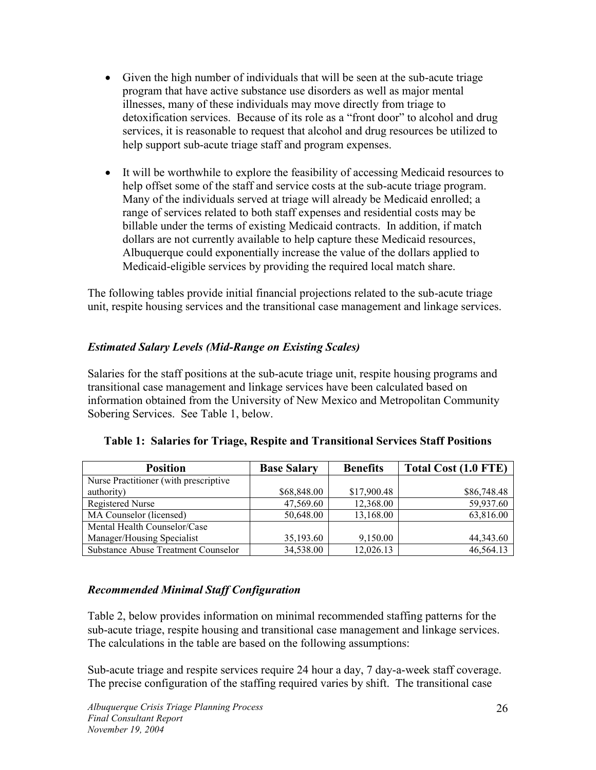- Given the high number of individuals that will be seen at the sub-acute triage program that have active substance use disorders as well as major mental illnesses, many of these individuals may move directly from triage to detoxification services. Because of its role as a "front door" to alcohol and drug services, it is reasonable to request that alcohol and drug resources be utilized to help support sub-acute triage staff and program expenses.
- It will be worthwhile to explore the feasibility of accessing Medicaid resources to help offset some of the staff and service costs at the sub-acute triage program. Many of the individuals served at triage will already be Medicaid enrolled; a range of services related to both staff expenses and residential costs may be billable under the terms of existing Medicaid contracts. In addition, if match dollars are not currently available to help capture these Medicaid resources, Albuquerque could exponentially increase the value of the dollars applied to Medicaid-eligible services by providing the required local match share.

The following tables provide initial financial projections related to the sub-acute triage unit, respite housing services and the transitional case management and linkage services.

#### *Estimated Salary Levels (Mid-Range on Existing Scales)*

Salaries for the staff positions at the sub-acute triage unit, respite housing programs and transitional case management and linkage services have been calculated based on information obtained from the University of New Mexico and Metropolitan Community Sobering Services. See Table 1, below.

| <b>Position</b>                            | <b>Base Salary</b> | <b>Benefits</b> | Total Cost (1.0 FTE) |
|--------------------------------------------|--------------------|-----------------|----------------------|
| Nurse Practitioner (with prescriptive      |                    |                 |                      |
| authority)                                 | \$68,848.00        | \$17,900.48     | \$86,748.48          |
| Registered Nurse                           | 47,569.60          | 12,368.00       | 59,937.60            |
| MA Counselor (licensed)                    | 50,648.00          | 13,168.00       | 63,816.00            |
| Mental Health Counselor/Case               |                    |                 |                      |
| Manager/Housing Specialist                 | 35,193.60          | 9,150.00        | 44, 343.60           |
| <b>Substance Abuse Treatment Counselor</b> | 34,538.00          | 12,026.13       | 46,564.13            |

#### **Table 1: Salaries for Triage, Respite and Transitional Services Staff Positions**

#### *Recommended Minimal Staff Configuration*

Table 2, below provides information on minimal recommended staffing patterns for the sub-acute triage, respite housing and transitional case management and linkage services. The calculations in the table are based on the following assumptions:

Sub-acute triage and respite services require 24 hour a day, 7 day-a-week staff coverage. The precise configuration of the staffing required varies by shift. The transitional case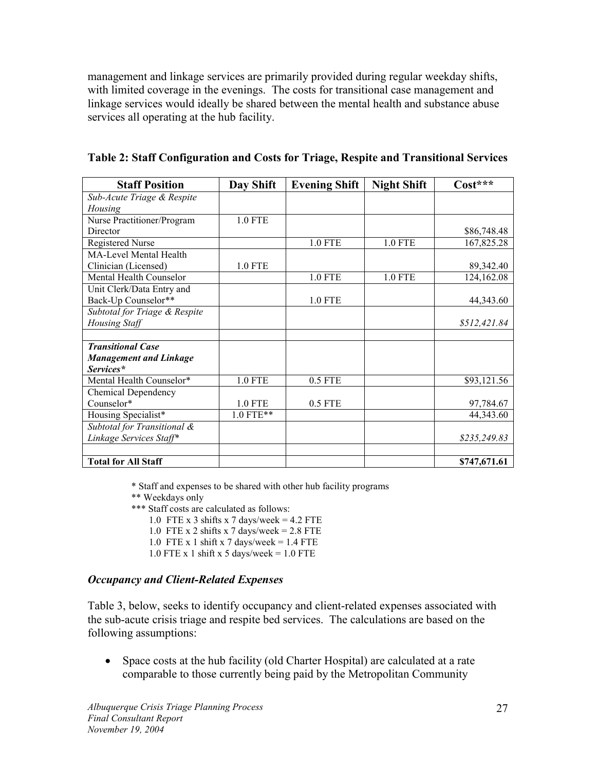management and linkage services are primarily provided during regular weekday shifts, with limited coverage in the evenings. The costs for transitional case management and linkage services would ideally be shared between the mental health and substance abuse services all operating at the hub facility.

| <b>Staff Position</b>         | Day Shift | <b>Evening Shift</b> | <b>Night Shift</b> | $Cost***$    |
|-------------------------------|-----------|----------------------|--------------------|--------------|
| Sub-Acute Triage & Respite    |           |                      |                    |              |
| Housing                       |           |                      |                    |              |
| Nurse Practitioner/Program    | 1.0 FTE   |                      |                    |              |
| Director                      |           |                      |                    | \$86,748.48  |
| Registered Nurse              |           | 1.0 FTE              | 1.0 FTE            | 167,825.28   |
| <b>MA-Level Mental Health</b> |           |                      |                    |              |
| Clinician (Licensed)          | 1.0 FTE   |                      |                    | 89,342.40    |
| Mental Health Counselor       |           | 1.0 FTE              | 1.0 FTE            | 124,162.08   |
| Unit Clerk/Data Entry and     |           |                      |                    |              |
| Back-Up Counselor**           |           | 1.0 FTE              |                    | 44,343.60    |
| Subtotal for Triage & Respite |           |                      |                    |              |
| <b>Housing Staff</b>          |           |                      |                    | \$512,421.84 |
|                               |           |                      |                    |              |
| <b>Transitional Case</b>      |           |                      |                    |              |
| <b>Management and Linkage</b> |           |                      |                    |              |
| Services*                     |           |                      |                    |              |
| Mental Health Counselor*      | 1.0 FTE   | 0.5 FTE              |                    | \$93,121.56  |
| Chemical Dependency           |           |                      |                    |              |
| Counselor*                    | 1.0 FTE   | $0.5$ FTE            |                    | 97,784.67    |
| Housing Specialist*           | 1.0 FTE** |                      |                    | 44,343.60    |
| Subtotal for Transitional &   |           |                      |                    |              |
| Linkage Services Staff*       |           |                      |                    | \$235,249.83 |
|                               |           |                      |                    |              |
| <b>Total for All Staff</b>    |           |                      |                    | \$747,671.61 |

**Table 2: Staff Configuration and Costs for Triage, Respite and Transitional Services**

\* Staff and expenses to be shared with other hub facility programs

\*\* Weekdays only

\*\*\* Staff costs are calculated as follows:

- 1.0 FTE x 3 shifts x 7 days/week =  $4.2$  FTE
- 1.0 FTE x 2 shifts x 7 days/week =  $2.8$  FTE
- 1.0 FTE x 1 shift x 7 days/week =  $1.4$  FTE
- 1.0 FTE x 1 shift x 5 days/week =  $1.0$  FTE

#### *Occupancy and Client-Related Expenses*

Table 3, below, seeks to identify occupancy and client-related expenses associated with the sub-acute crisis triage and respite bed services. The calculations are based on the following assumptions:

• Space costs at the hub facility (old Charter Hospital) are calculated at a rate comparable to those currently being paid by the Metropolitan Community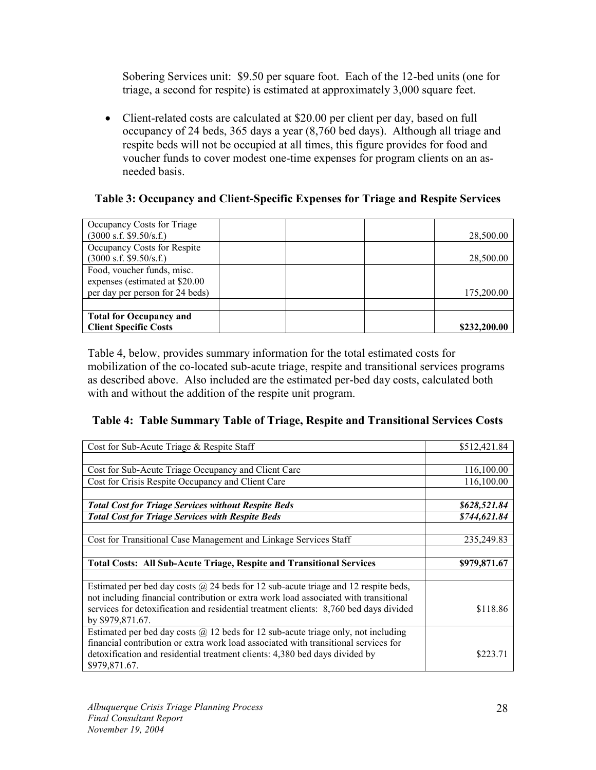Sobering Services unit: \$9.50 per square foot. Each of the 12-bed units (one for triage, a second for respite) is estimated at approximately 3,000 square feet.

• Client-related costs are calculated at \$20.00 per client per day, based on full occupancy of 24 beds, 365 days a year (8,760 bed days). Although all triage and respite beds will not be occupied at all times, this figure provides for food and voucher funds to cover modest one-time expenses for program clients on an asneeded basis.

### **Table 3: Occupancy and Client-Specific Expenses for Triage and Respite Services**

| Occupancy Costs for Triage<br>$(3000 \text{ s.f. } $9.50/\text{s.f.})$ |  | 28,500.00    |
|------------------------------------------------------------------------|--|--------------|
| Occupancy Costs for Respite                                            |  |              |
| (3000 s.f. \$9.50/s.f.)                                                |  | 28,500.00    |
| Food, voucher funds, misc.<br>expenses (estimated at \$20.00)          |  |              |
| per day per person for 24 beds)                                        |  | 175,200.00   |
|                                                                        |  |              |
| <b>Total for Occupancy and</b><br><b>Client Specific Costs</b>         |  | \$232,200.00 |

Table 4, below, provides summary information for the total estimated costs for mobilization of the co-located sub-acute triage, respite and transitional services programs as described above. Also included are the estimated per-bed day costs, calculated both with and without the addition of the respite unit program.

#### **Table 4: Table Summary Table of Triage, Respite and Transitional Services Costs**

| Cost for Sub-Acute Triage & Respite Staff                                                | \$512,421.84 |
|------------------------------------------------------------------------------------------|--------------|
|                                                                                          |              |
| Cost for Sub-Acute Triage Occupancy and Client Care                                      | 116,100.00   |
| Cost for Crisis Respite Occupancy and Client Care                                        | 116,100.00   |
|                                                                                          |              |
| <b>Total Cost for Triage Services without Respite Beds</b>                               | \$628,521.84 |
| <b>Total Cost for Triage Services with Respite Beds</b>                                  | \$744,621.84 |
|                                                                                          |              |
| Cost for Transitional Case Management and Linkage Services Staff                         | 235,249.83   |
|                                                                                          |              |
| <b>Total Costs: All Sub-Acute Triage, Respite and Transitional Services</b>              | \$979,871.67 |
|                                                                                          |              |
| Estimated per bed day costs $(a)$ 24 beds for 12 sub-acute triage and 12 respite beds,   |              |
| not including financial contribution or extra work load associated with transitional     |              |
| services for detoxification and residential treatment clients: 8,760 bed days divided    | \$118.86     |
| by \$979,871.67.                                                                         |              |
| Estimated per bed day costs $\omega$ 12 beds for 12 sub-acute triage only, not including |              |
| financial contribution or extra work load associated with transitional services for      |              |
| detoxification and residential treatment clients: 4,380 bed days divided by              | \$223.71     |
| \$979,871.67.                                                                            |              |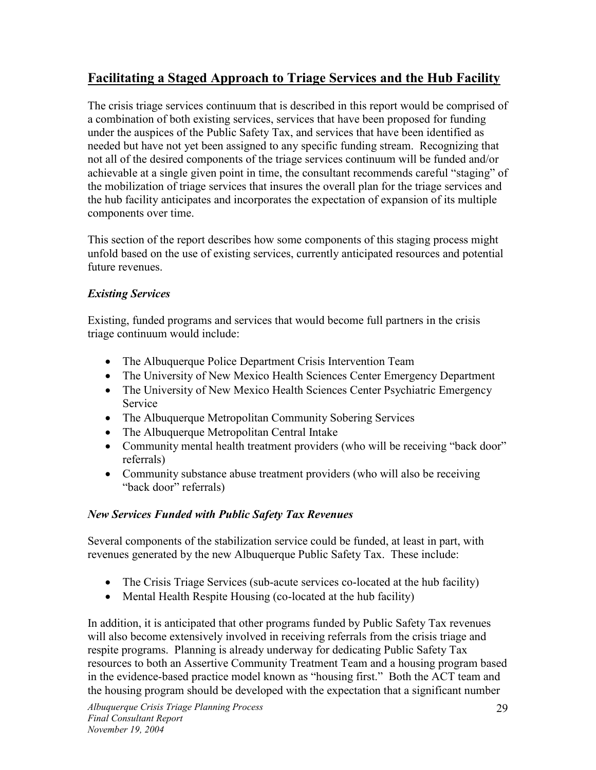# **Facilitating a Staged Approach to Triage Services and the Hub Facility**

The crisis triage services continuum that is described in this report would be comprised of a combination of both existing services, services that have been proposed for funding under the auspices of the Public Safety Tax, and services that have been identified as needed but have not yet been assigned to any specific funding stream. Recognizing that not all of the desired components of the triage services continuum will be funded and/or achievable at a single given point in time, the consultant recommends careful "staging" of the mobilization of triage services that insures the overall plan for the triage services and the hub facility anticipates and incorporates the expectation of expansion of its multiple components over time.

This section of the report describes how some components of this staging process might unfold based on the use of existing services, currently anticipated resources and potential future revenues.

# *Existing Services*

Existing, funded programs and services that would become full partners in the crisis triage continuum would include:

- The Albuquerque Police Department Crisis Intervention Team
- The University of New Mexico Health Sciences Center Emergency Department
- The University of New Mexico Health Sciences Center Psychiatric Emergency Service
- The Albuquerque Metropolitan Community Sobering Services
- The Albuquerque Metropolitan Central Intake
- Community mental health treatment providers (who will be receiving "back door" referrals)
- Community substance abuse treatment providers (who will also be receiving "back door" referrals)

# *New Services Funded with Public Safety Tax Revenues*

Several components of the stabilization service could be funded, at least in part, with revenues generated by the new Albuquerque Public Safety Tax. These include:

- The Crisis Triage Services (sub-acute services co-located at the hub facility)
- Mental Health Respite Housing (co-located at the hub facility)

In addition, it is anticipated that other programs funded by Public Safety Tax revenues will also become extensively involved in receiving referrals from the crisis triage and respite programs. Planning is already underway for dedicating Public Safety Tax resources to both an Assertive Community Treatment Team and a housing program based in the evidence-based practice model known as "housing first." Both the ACT team and the housing program should be developed with the expectation that a significant number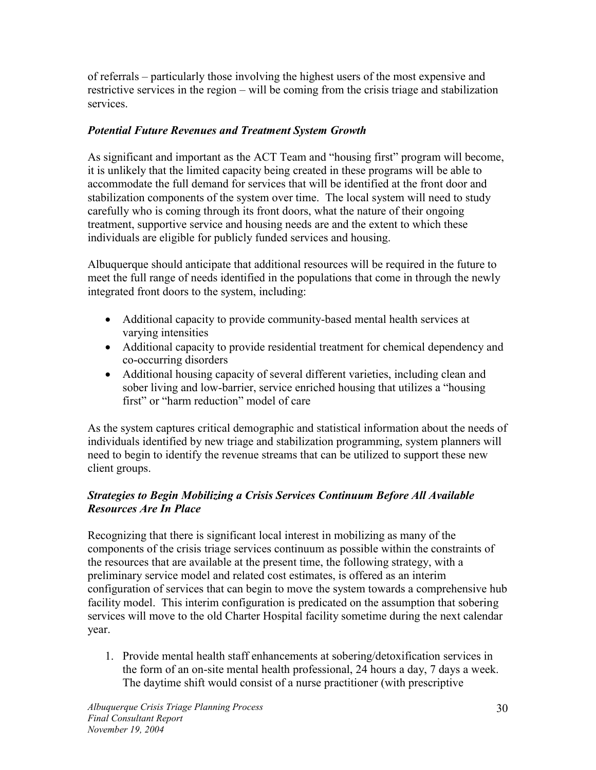of referrals – particularly those involving the highest users of the most expensive and restrictive services in the region – will be coming from the crisis triage and stabilization services.

### *Potential Future Revenues and Treatment System Growth*

As significant and important as the ACT Team and "housing first" program will become, it is unlikely that the limited capacity being created in these programs will be able to accommodate the full demand for services that will be identified at the front door and stabilization components of the system over time. The local system will need to study carefully who is coming through its front doors, what the nature of their ongoing treatment, supportive service and housing needs are and the extent to which these individuals are eligible for publicly funded services and housing.

Albuquerque should anticipate that additional resources will be required in the future to meet the full range of needs identified in the populations that come in through the newly integrated front doors to the system, including:

- Additional capacity to provide community-based mental health services at varying intensities
- Additional capacity to provide residential treatment for chemical dependency and co-occurring disorders
- Additional housing capacity of several different varieties, including clean and sober living and low-barrier, service enriched housing that utilizes a "housing first" or "harm reduction" model of care

As the system captures critical demographic and statistical information about the needs of individuals identified by new triage and stabilization programming, system planners will need to begin to identify the revenue streams that can be utilized to support these new client groups.

#### *Strategies to Begin Mobilizing a Crisis Services Continuum Before All Available Resources Are In Place*

Recognizing that there is significant local interest in mobilizing as many of the components of the crisis triage services continuum as possible within the constraints of the resources that are available at the present time, the following strategy, with a preliminary service model and related cost estimates, is offered as an interim configuration of services that can begin to move the system towards a comprehensive hub facility model. This interim configuration is predicated on the assumption that sobering services will move to the old Charter Hospital facility sometime during the next calendar year.

1. Provide mental health staff enhancements at sobering/detoxification services in the form of an on-site mental health professional, 24 hours a day, 7 days a week. The daytime shift would consist of a nurse practitioner (with prescriptive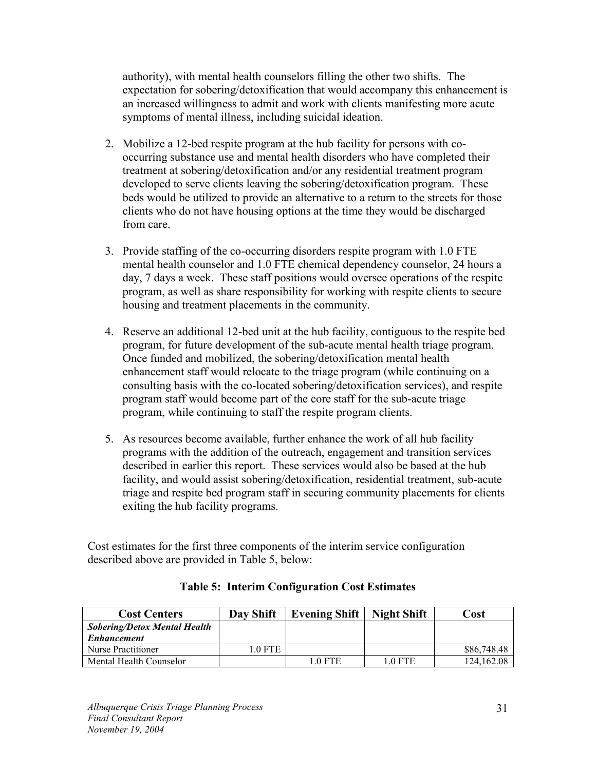authority), with mental health counselors filling the other two shifts. The expectation for sobering/detoxification that would accompany this enhancement is an increased willingness to admit and work with clients manifesting more acute symptoms of mental illness, including suicidal ideation.

- 2. Mobilize a 12-bed respite program at the hub facility for persons with cooccurring substance use and mental health disorders who have completed their treatment at sobering/detoxification and/or any residential treatment program developed to serve clients leaving the sobering/detoxification program. These beds would be utilized to provide an alternative to a return to the streets for those clients who do not have housing options at the time they would be discharged from care.
- 3. Provide staffing of the co-occurring disorders respite program with 1.0 FTE mental health counselor and 1.0 FTE chemical dependency counselor, 24 hours a day, 7 days a week. These staff positions would oversee operations of the respite program, as well as share responsibility for working with respite clients to secure housing and treatment placements in the community.
- 4. Reserve an additional 12-bed unit at the hub facility, contiguous to the respite bed program, for future development of the sub-acute mental health triage program. Once funded and mobilized, the sobering/detoxification mental health enhancement staff would relocate to the triage program (while continuing on a consulting basis with the co-located sobering/detoxification services), and respite program staff would become part of the core staff for the sub-acute triage program, while continuing to staff the respite program clients.
- 5. As resources become available, further enhance the work of all hub facility programs with the addition of the outreach, engagement and transition services described in earlier this report. These services would also be based at the hub facility, and would assist sobering/detoxification, residential treatment, sub-acute triage and respite bed program staff in securing community placements for clients exiting the hub facility programs.

Cost estimates for the first three components of the interim service configuration described above are provided in Table 5, below:

| <b>Cost Centers</b>                 | Day Shift | <b>Evening Shift</b> | <b>Night Shift</b> | Cost        |
|-------------------------------------|-----------|----------------------|--------------------|-------------|
| <b>Sobering/Detox Mental Health</b> |           |                      |                    |             |
| <b>Enhancement</b>                  |           |                      |                    |             |
| Nurse Practitioner                  | $.0$ FTE  |                      |                    | \$86,748.48 |
| Mental Health Counselor             |           | 10 FTE               | 10 FTE             | 124.162.08  |

#### **Table 5: Interim Configuration Cost Estimates**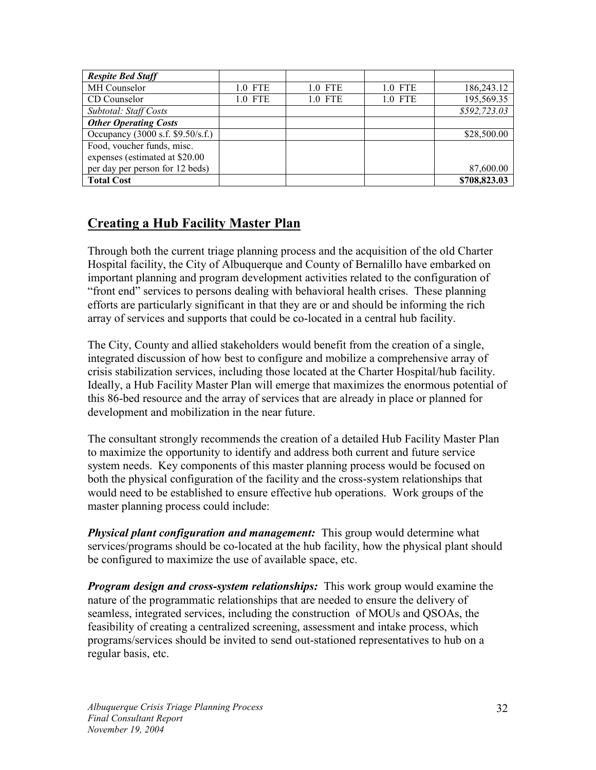| <b>Respite Bed Staff</b>          |         |         |         |              |
|-----------------------------------|---------|---------|---------|--------------|
| <b>MH</b> Counselor               | 1.0 FTE | 1.0 FTE | 1.0 FTE | 186,243.12   |
| CD Counselor                      | 1.0 FTE | 1.0 FTE | 1.0 FTE | 195,569.35   |
| <b>Subtotal: Staff Costs</b>      |         |         |         | \$592,723.03 |
| <b>Other Operating Costs</b>      |         |         |         |              |
| Occupancy (3000 s.f. \$9.50/s.f.) |         |         |         | \$28,500.00  |
| Food, voucher funds, misc.        |         |         |         |              |
| expenses (estimated at \$20.00)   |         |         |         |              |
| per day per person for 12 beds)   |         |         |         | 87,600.00    |
| <b>Total Cost</b>                 |         |         |         | \$708,823.03 |

# **Creating a Hub Facility Master Plan**

Through both the current triage planning process and the acquisition of the old Charter Hospital facility, the City of Albuquerque and County of Bernalillo have embarked on important planning and program development activities related to the configuration of "front end" services to persons dealing with behavioral health crises. These planning efforts are particularly significant in that they are or and should be informing the rich array of services and supports that could be co-located in a central hub facility.

The City, County and allied stakeholders would benefit from the creation of a single, integrated discussion of how best to configure and mobilize a comprehensive array of crisis stabilization services, including those located at the Charter Hospital/hub facility. Ideally, a Hub Facility Master Plan will emerge that maximizes the enormous potential of this 86-bed resource and the array of services that are already in place or planned for development and mobilization in the near future.

The consultant strongly recommends the creation of a detailed Hub Facility Master Plan to maximize the opportunity to identify and address both current and future service system needs. Key components of this master planning process would be focused on both the physical configuration of the facility and the cross-system relationships that would need to be established to ensure effective hub operations. Work groups of the master planning process could include:

*Physical plant configuration and management:* This group would determine what services/programs should be co-located at the hub facility, how the physical plant should be configured to maximize the use of available space, etc.

*Program design and cross-system relationships:* This work group would examine the nature of the programmatic relationships that are needed to ensure the delivery of seamless, integrated services, including the construction of MOUs and QSOAs, the feasibility of creating a centralized screening, assessment and intake process, which programs/services should be invited to send out-stationed representatives to hub on a regular basis, etc.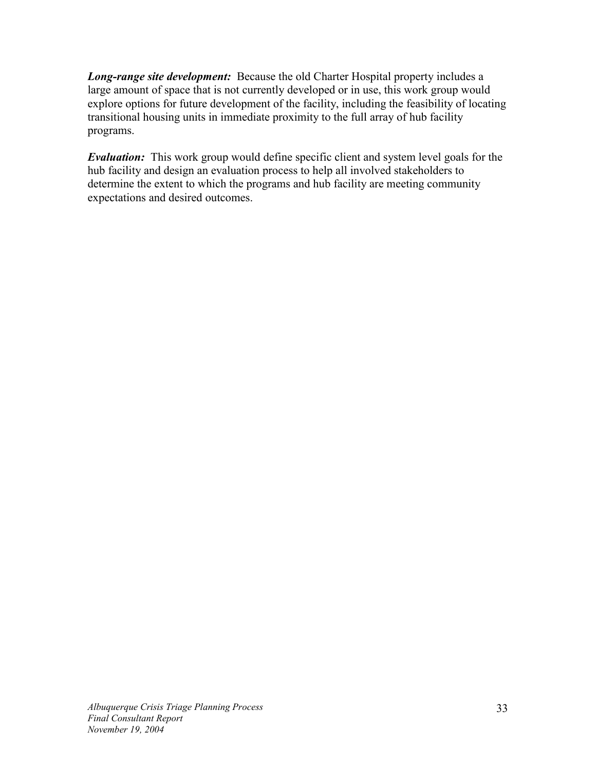*Long-range site development:* Because the old Charter Hospital property includes a large amount of space that is not currently developed or in use, this work group would explore options for future development of the facility, including the feasibility of locating transitional housing units in immediate proximity to the full array of hub facility programs.

*Evaluation:* This work group would define specific client and system level goals for the hub facility and design an evaluation process to help all involved stakeholders to determine the extent to which the programs and hub facility are meeting community expectations and desired outcomes.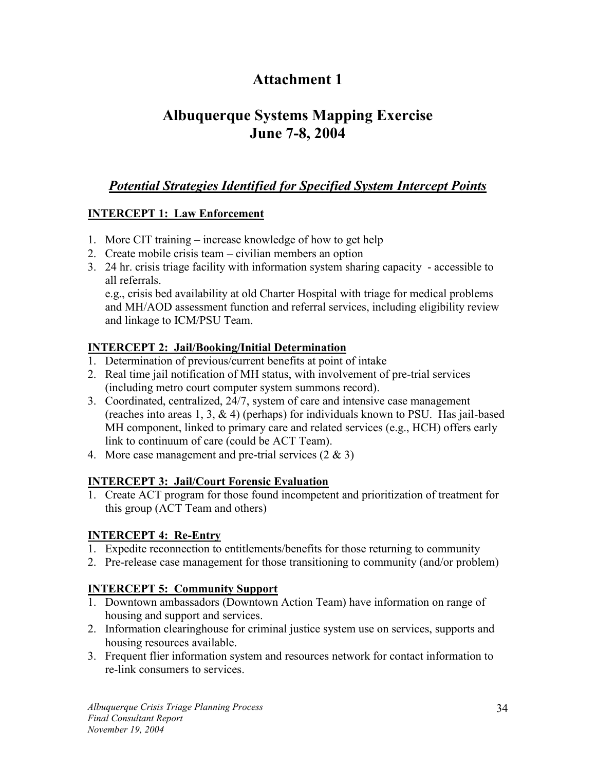# **Attachment 1**

# **Albuquerque Systems Mapping Exercise June 7-8, 2004**

# *Potential Strategies Identified for Specified System Intercept Points*

### **INTERCEPT 1: Law Enforcement**

- 1. More CIT training increase knowledge of how to get help
- 2. Create mobile crisis team civilian members an option
- 3. 24 hr. crisis triage facility with information system sharing capacity accessible to all referrals.

e.g., crisis bed availability at old Charter Hospital with triage for medical problems and MH/AOD assessment function and referral services, including eligibility review and linkage to ICM/PSU Team.

### **INTERCEPT 2: Jail/Booking/Initial Determination**

- 1. Determination of previous/current benefits at point of intake
- 2. Real time jail notification of MH status, with involvement of pre-trial services (including metro court computer system summons record).
- 3. Coordinated, centralized, 24/7, system of care and intensive case management (reaches into areas 1, 3, & 4) (perhaps) for individuals known to PSU. Has jail-based MH component, linked to primary care and related services (e.g., HCH) offers early link to continuum of care (could be ACT Team).
- 4. More case management and pre-trial services  $(2 \& 3)$

#### **INTERCEPT 3: Jail/Court Forensic Evaluation**

1. Create ACT program for those found incompetent and prioritization of treatment for this group (ACT Team and others)

# **INTERCEPT 4: Re-Entry**

- 1. Expedite reconnection to entitlements/benefits for those returning to community
- 2. Pre-release case management for those transitioning to community (and/or problem)

# **INTERCEPT 5: Community Support**

- 1. Downtown ambassadors (Downtown Action Team) have information on range of housing and support and services.
- 2. Information clearinghouse for criminal justice system use on services, supports and housing resources available.
- 3. Frequent flier information system and resources network for contact information to re-link consumers to services.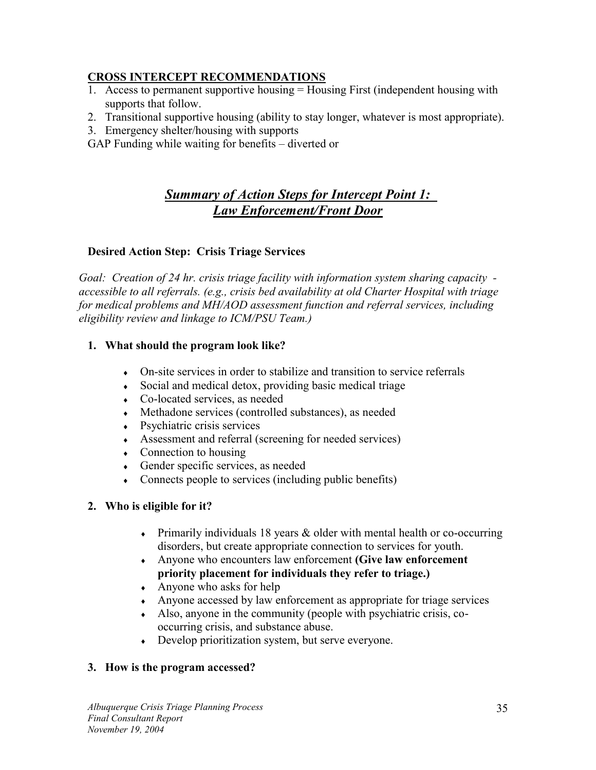#### **CROSS INTERCEPT RECOMMENDATIONS**

- 1. Access to permanent supportive housing = Housing First (independent housing with supports that follow.
- 2. Transitional supportive housing (ability to stay longer, whatever is most appropriate).
- 3. Emergency shelter/housing with supports

GAP Funding while waiting for benefits – diverted or

# *Summary of Action Steps for Intercept Point 1: Law Enforcement/Front Door*

#### **Desired Action Step: Crisis Triage Services**

*Goal: Creation of 24 hr. crisis triage facility with information system sharing capacity accessible to all referrals. (e.g., crisis bed availability at old Charter Hospital with triage for medical problems and MH/AOD assessment function and referral services, including eligibility review and linkage to ICM/PSU Team.)*

#### **1. What should the program look like?**

- On-site services in order to stabilize and transition to service referrals
- Social and medical detox, providing basic medical triage
- Co-located services, as needed
- Methadone services (controlled substances), as needed
- Psychiatric crisis services
- Assessment and referral (screening for needed services)
- Connection to housing
- Gender specific services, as needed
- Connects people to services (including public benefits)

#### **2. Who is eligible for it?**

- Primarily individuals 18 years & older with mental health or co-occurring disorders, but create appropriate connection to services for youth.
- Anyone who encounters law enforcement **(Give law enforcement priority placement for individuals they refer to triage.)**
- Anyone who asks for help
- Anyone accessed by law enforcement as appropriate for triage services
- Also, anyone in the community (people with psychiatric crisis, cooccurring crisis, and substance abuse.
- Develop prioritization system, but serve everyone.

#### **3. How is the program accessed?**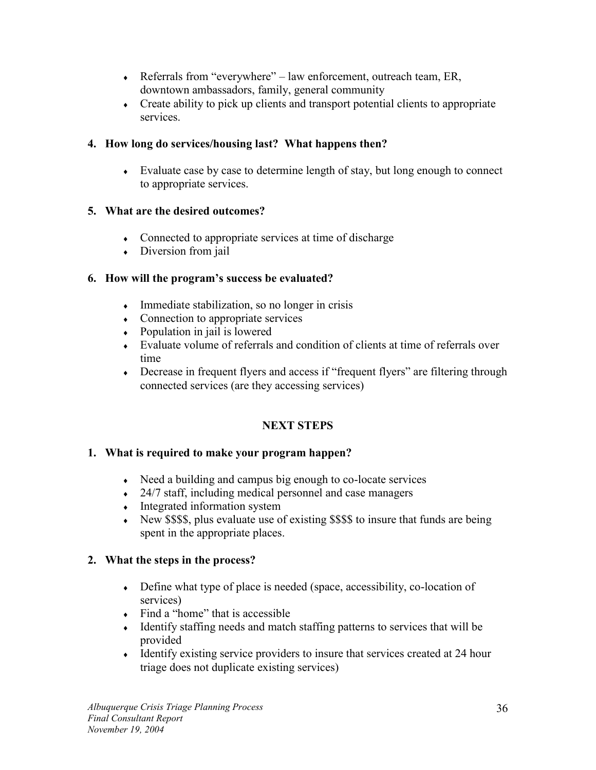- Referrals from "everywhere" law enforcement, outreach team, ER, downtown ambassadors, family, general community
- Create ability to pick up clients and transport potential clients to appropriate services.

# **4. How long do services/housing last? What happens then?**

 Evaluate case by case to determine length of stay, but long enough to connect to appropriate services.

### **5. What are the desired outcomes?**

- Connected to appropriate services at time of discharge
- Diversion from jail

### **6. How will the program's success be evaluated?**

- Immediate stabilization, so no longer in crisis
- Connection to appropriate services
- $\rightarrow$  Population in jail is lowered
- Evaluate volume of referrals and condition of clients at time of referrals over time
- Decrease in frequent flyers and access if "frequent flyers" are filtering through connected services (are they accessing services)

# **NEXT STEPS**

# **1. What is required to make your program happen?**

- Need a building and campus big enough to co-locate services
- 24/7 staff, including medical personnel and case managers
- $\bullet$  Integrated information system
- New \$\$\$\$, plus evaluate use of existing \$\$\$\$ to insure that funds are being spent in the appropriate places.

#### **2. What the steps in the process?**

- Define what type of place is needed (space, accessibility, co-location of services)
- $\leftarrow$  Find a "home" that is accessible
- Identify staffing needs and match staffing patterns to services that will be provided
- Identify existing service providers to insure that services created at 24 hour triage does not duplicate existing services)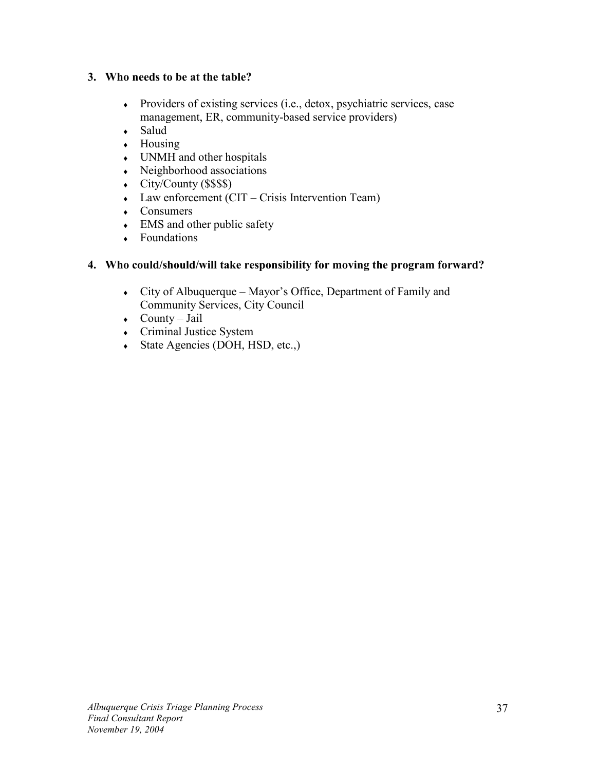#### **3. Who needs to be at the table?**

- Providers of existing services (i.e., detox, psychiatric services, case management, ER, community-based service providers)
- Salud
- Housing
- UNMH and other hospitals
- Neighborhood associations
- City/County (\$\$\$\$)
- $\bullet$  Law enforcement (CIT Crisis Intervention Team)
- Consumers
- EMS and other public safety
- Foundations

### **4. Who could/should/will take responsibility for moving the program forward?**

- City of Albuquerque Mayor's Office, Department of Family and Community Services, City Council
- $\leftarrow$  County Jail
- Criminal Justice System
- State Agencies (DOH, HSD, etc.,)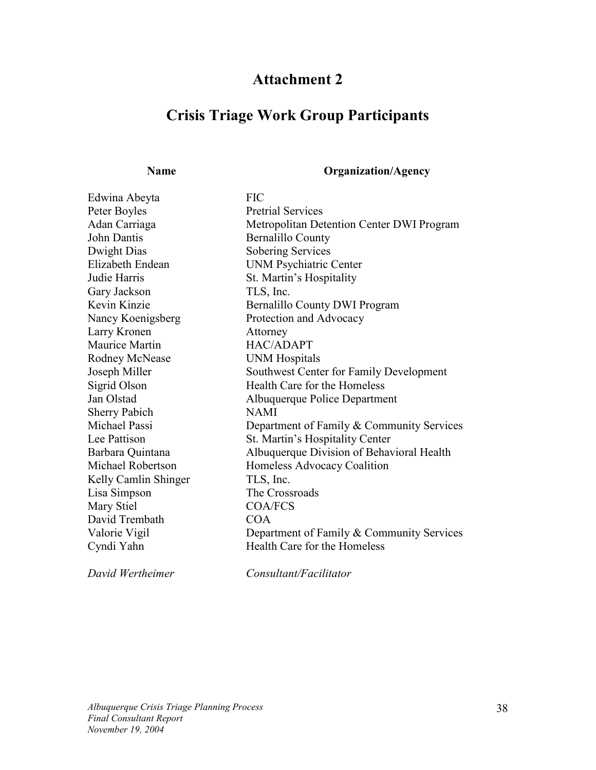# **Attachment 2**

# **Crisis Triage Work Group Participants**

#### **Name Organization/Agency**

| Edwina Abeyta        | <b>FIC</b>                                |
|----------------------|-------------------------------------------|
| Peter Boyles         | <b>Pretrial Services</b>                  |
| Adan Carriaga        | Metropolitan Detention Center DWI Program |
| John Dantis          | <b>Bernalillo County</b>                  |
| Dwight Dias          | <b>Sobering Services</b>                  |
| Elizabeth Endean     | <b>UNM Psychiatric Center</b>             |
| Judie Harris         | St. Martin's Hospitality                  |
| Gary Jackson         | TLS, Inc.                                 |
| Kevin Kinzie         | Bernalillo County DWI Program             |
| Nancy Koenigsberg    | Protection and Advocacy                   |
| Larry Kronen         | Attorney                                  |
| Maurice Martin       | HAC/ADAPT                                 |
| Rodney McNease       | <b>UNM Hospitals</b>                      |
| Joseph Miller        | Southwest Center for Family Development   |
| Sigrid Olson         | Health Care for the Homeless              |
| Jan Olstad           | Albuquerque Police Department             |
| <b>Sherry Pabich</b> | <b>NAMI</b>                               |
| Michael Passi        | Department of Family & Community Services |
| Lee Pattison         | St. Martin's Hospitality Center           |
| Barbara Quintana     | Albuquerque Division of Behavioral Health |
| Michael Robertson    | Homeless Advocacy Coalition               |
| Kelly Camlin Shinger | TLS, Inc.                                 |
| Lisa Simpson         | The Crossroads                            |
| Mary Stiel           | <b>COA/FCS</b>                            |
| David Trembath       | <b>COA</b>                                |
| Valorie Vigil        | Department of Family & Community Services |
| Cyndi Yahn           | Health Care for the Homeless              |

*David Wertheimer Consultant/Facilitator*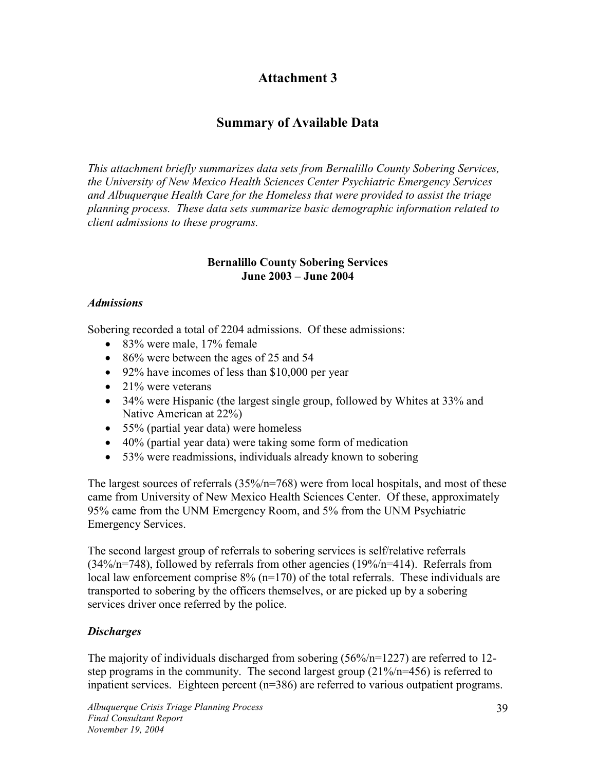# **Attachment 3**

# **Summary of Available Data**

*This attachment briefly summarizes data sets from Bernalillo County Sobering Services, the University of New Mexico Health Sciences Center Psychiatric Emergency Services and Albuquerque Health Care for the Homeless that were provided to assist the triage planning process. These data sets summarize basic demographic information related to client admissions to these programs.* 

#### **Bernalillo County Sobering Services June 2003 – June 2004**

#### *Admissions*

Sobering recorded a total of 2204 admissions. Of these admissions:

- 83% were male, 17% female
- 86% were between the ages of 25 and 54
- 92% have incomes of less than \$10,000 per year
- $\bullet$  21% were veterans
- 34% were Hispanic (the largest single group, followed by Whites at 33% and Native American at 22%)
- 55% (partial year data) were homeless
- 40% (partial year data) were taking some form of medication
- 53% were readmissions, individuals already known to sobering

The largest sources of referrals (35%/n=768) were from local hospitals, and most of these came from University of New Mexico Health Sciences Center. Of these, approximately 95% came from the UNM Emergency Room, and 5% from the UNM Psychiatric Emergency Services.

The second largest group of referrals to sobering services is self/relative referrals  $(34\%/n=748)$ , followed by referrals from other agencies  $(19\%/n=414)$ . Referrals from local law enforcement comprise  $8\%$  (n=170) of the total referrals. These individuals are transported to sobering by the officers themselves, or are picked up by a sobering services driver once referred by the police.

#### *Discharges*

The majority of individuals discharged from sobering (56%/n=1227) are referred to 12 step programs in the community. The second largest group (21%/n=456) is referred to inpatient services. Eighteen percent (n=386) are referred to various outpatient programs.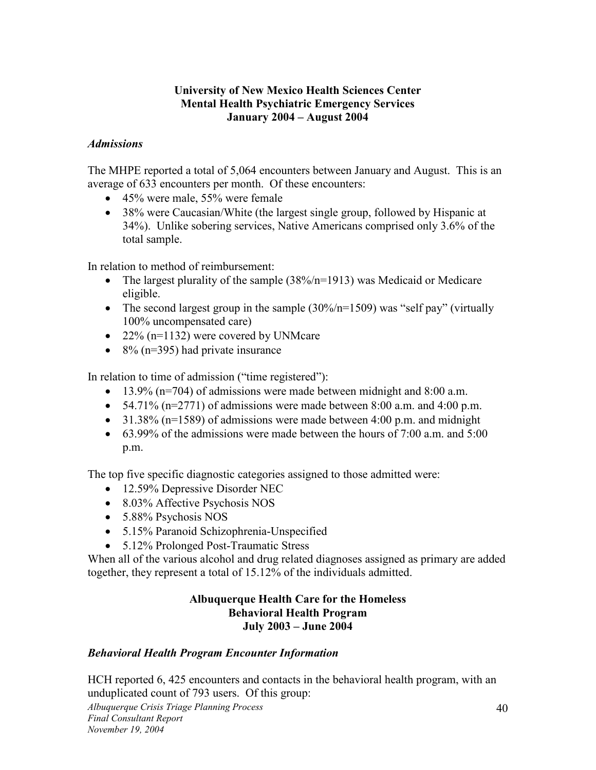#### **University of New Mexico Health Sciences Center Mental Health Psychiatric Emergency Services January 2004 – August 2004**

#### *Admissions*

The MHPE reported a total of 5,064 encounters between January and August. This is an average of 633 encounters per month. Of these encounters:

- 45% were male, 55% were female
- 38% were Caucasian/White (the largest single group, followed by Hispanic at 34%). Unlike sobering services, Native Americans comprised only 3.6% of the total sample.

In relation to method of reimbursement:

- The largest plurality of the sample  $(38\%/n=1913)$  was Medicaid or Medicare eligible.
- The second largest group in the sample  $(30\%/n=1509)$  was "self pay" (virtually 100% uncompensated care)
- 22% ( $n=1132$ ) were covered by UNMcare
- $\bullet$  8% (n=395) had private insurance

In relation to time of admission ("time registered"):

- $\bullet$  13.9% (n=704) of admissions were made between midnight and 8:00 a.m.
- $\bullet$  54.71% (n=2771) of admissions were made between 8:00 a.m. and 4:00 p.m.
- $\bullet$  31.38% (n=1589) of admissions were made between 4:00 p.m. and midnight
- 63.99% of the admissions were made between the hours of  $7:00$  a.m. and  $5:00$ p.m.

The top five specific diagnostic categories assigned to those admitted were:

- 12.59% Depressive Disorder NEC
- 8.03% Affective Psychosis NOS
- 5.88% Psychosis NOS
- 5.15% Paranoid Schizophrenia-Unspecified
- 5.12% Prolonged Post-Traumatic Stress

When all of the various alcohol and drug related diagnoses assigned as primary are added together, they represent a total of 15.12% of the individuals admitted.

#### **Albuquerque Health Care for the Homeless Behavioral Health Program July 2003 – June 2004**

#### *Behavioral Health Program Encounter Information*

HCH reported 6, 425 encounters and contacts in the behavioral health program, with an unduplicated count of 793 users. Of this group: